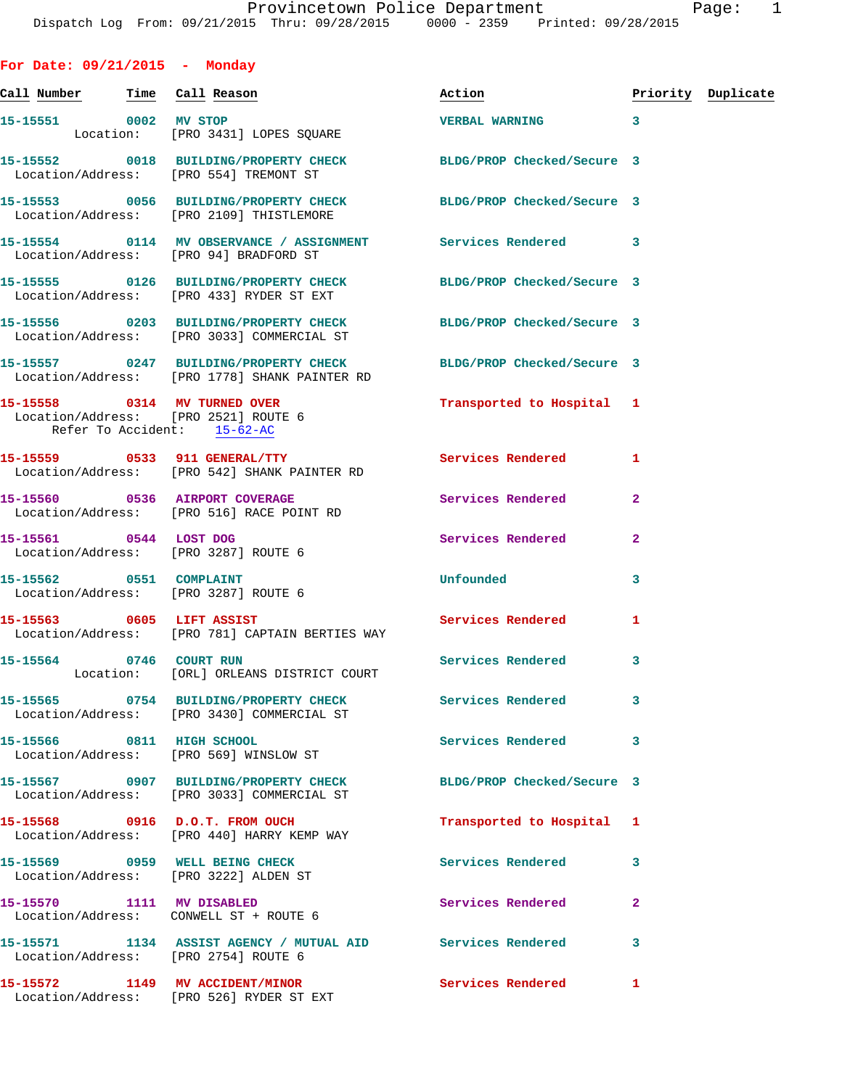**For Date: 09/21/2015 - Monday Call Number Time Call Reason Action Priority Duplicate 15-15551 0002 MV STOP VERBAL WARNING 3**  Location: [PRO 3431] LOPES SOUARE **15-15552 0018 BUILDING/PROPERTY CHECK BLDG/PROP Checked/Secure 3**  Location/Address: [PRO 554] TREMONT ST **15-15553 0056 BUILDING/PROPERTY CHECK BLDG/PROP Checked/Secure 3**  Location/Address: [PRO 2109] THISTLEMORE **15-15554 0114 MV OBSERVANCE / ASSIGNMENT Services Rendered 3**  Location/Address: [PRO 94] BRADFORD ST **15-15555 0126 BUILDING/PROPERTY CHECK BLDG/PROP Checked/Secure 3**  Location/Address: [PRO 433] RYDER ST EXT **15-15556 0203 BUILDING/PROPERTY CHECK BLDG/PROP Checked/Secure 3**  Location/Address: [PRO 3033] COMMERCIAL ST **15-15557 0247 BUILDING/PROPERTY CHECK BLDG/PROP Checked/Secure 3**  Location/Address: [PRO 1778] SHANK PAINTER RD **15-15558 0314 MV TURNED OVER Transported to Hospital 1**  Location/Address: [PRO 2521] ROUTE 6 Refer To Accident: 15-62-AC **15-15559 0533 911 GENERAL/TTY Services Rendered 1**  Location/Address: [PRO 542] SHANK PAINTER RD **15-15560 0536 AIRPORT COVERAGE Services Rendered 2**  Location/Address: [PRO 516] RACE POINT RD **15-15561 0544 LOST DOG Services Rendered 2**  Location/Address: [PRO 3287] ROUTE 6 **15-15562 0551 COMPLAINT Unfounded 3**  Location/Address: [PRO 3287] ROUTE 6 **15-15563 0605 LIFT ASSIST Services Rendered 1**  Location/Address: [PRO 781] CAPTAIN BERTIES WAY **15-15564 0746 COURT RUN Services Rendered 3**  Location: [ORL] ORLEANS DISTRICT COURT **15-15565 0754 BUILDING/PROPERTY CHECK Services Rendered 3**  Location/Address: [PRO 3430] COMMERCIAL ST **15-15566 0811 HIGH SCHOOL Services Rendered 3**  Location/Address: [PRO 569] WINSLOW ST **15-15567 0907 BUILDING/PROPERTY CHECK BLDG/PROP Checked/Secure 3**  Location/Address: [PRO 3033] COMMERCIAL ST **15-15568 0916 D.O.T. FROM OUCH Transported to Hospital 1**  Location/Address: [PRO 440] HARRY KEMP WAY **15-15569 0959 WELL BEING CHECK Services Rendered 3**  Location/Address: [PRO 3222] ALDEN ST **15-15570 1111 MV DISABLED Services Rendered 2**  Location/Address: CONWELL ST + ROUTE 6 **15-15571 1134 ASSIST AGENCY / MUTUAL AID Services Rendered 3**  Location/Address: [PRO 2754] ROUTE 6 **15-15572 1149 MV ACCIDENT/MINOR Services Rendered 1** 

Location/Address: [PRO 526] RYDER ST EXT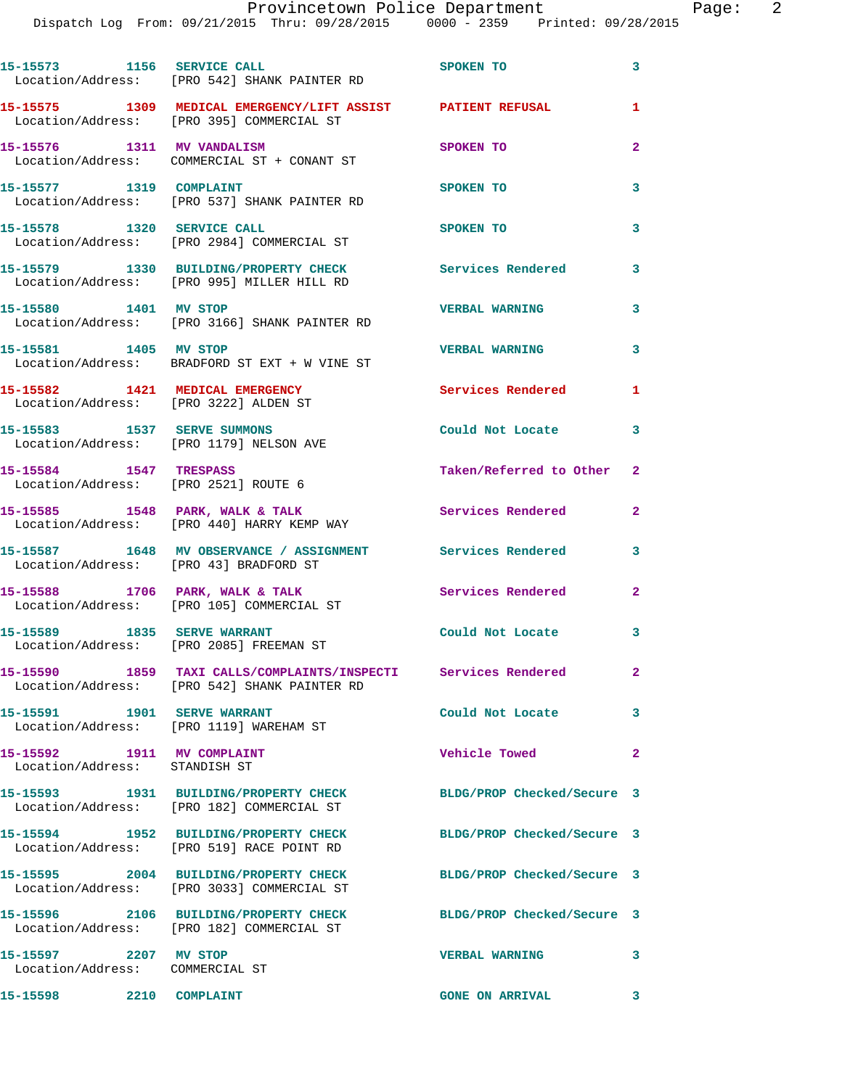|                                                             | 15-15573 1156 SERVICE CALL<br>Location/Address: [PRO 542] SHANK PAINTER RD                                     | SPOKEN TO                  | 3                       |
|-------------------------------------------------------------|----------------------------------------------------------------------------------------------------------------|----------------------------|-------------------------|
|                                                             | 15-15575   1309   MEDICAL EMERGENCY/LIFT ASSIST   PATIENT REFUSAL Location/Address: [PRO 395] COMMERCIAL ST    |                            | 1                       |
| 15-15576 1311 MV VANDALISM                                  | Location/Address: COMMERCIAL ST + CONANT ST                                                                    | SPOKEN TO                  | $\overline{2}$          |
| 15-15577 1319 COMPLAINT                                     | Location/Address: [PRO 537] SHANK PAINTER RD                                                                   | SPOKEN TO                  | 3                       |
| 15-15578 1320 SERVICE CALL                                  | Location/Address: [PRO 2984] COMMERCIAL ST                                                                     | SPOKEN TO                  | 3                       |
|                                                             | 15-15579 1330 BUILDING/PROPERTY CHECK<br>Location/Address: [PRO 995] MILLER HILL RD                            | <b>Services Rendered</b>   | 3                       |
| 15-15580 1401 MV STOP                                       | Location/Address: [PRO 3166] SHANK PAINTER RD                                                                  | <b>VERBAL WARNING</b>      | 3                       |
| 15-15581 1405 MV STOP                                       | Location/Address: BRADFORD ST EXT + W VINE ST                                                                  | <b>VERBAL WARNING</b>      | 3                       |
|                                                             | 15-15582 1421 MEDICAL EMERGENCY<br>Location/Address: [PRO 3222] ALDEN ST                                       | <b>Services Rendered</b>   | 1                       |
|                                                             | 15-15583 1537 SERVE SUMMONS<br>Location/Address: [PRO 1179] NELSON AVE                                         | Could Not Locate           | 3                       |
| 15-15584 1547 TRESPASS                                      | Location/Address: [PRO 2521] ROUTE 6                                                                           | Taken/Referred to Other    | $\mathbf{2}$            |
|                                                             | 15-15585 1548 PARK, WALK & TALK<br>Location/Address: [PRO 440] HARRY KEMP WAY                                  | Services Rendered          | $\mathbf{2}$            |
| Location/Address: [PRO 43] BRADFORD ST                      | 15-15587 1648 MV OBSERVANCE / ASSIGNMENT Services Rendered                                                     |                            | 3                       |
|                                                             | 15-15588 1706 PARK, WALK & TALK<br>Location/Address: [PRO 105] COMMERCIAL ST                                   | Services Rendered          | 2                       |
| 15-15589 1835 SERVE WARRANT                                 | Location/Address: [PRO 2085] FREEMAN ST                                                                        | Could Not Locate           | 3                       |
|                                                             | 15-15590 1859 TAXI CALLS/COMPLAINTS/INSPECTI Services Rendered<br>Location/Address: [PRO 542] SHANK PAINTER RD |                            | 2                       |
| 15-15591 1901 SERVE WARRANT                                 | Location/Address: [PRO 1119] WAREHAM ST                                                                        | Could Not Locate           | 3                       |
| 15-15592 1911 MV COMPLAINT<br>Location/Address: STANDISH ST |                                                                                                                | <b>Vehicle Towed</b>       | $\overline{\mathbf{2}}$ |
|                                                             | 15-15593 1931 BUILDING/PROPERTY CHECK<br>Location/Address: [PRO 182] COMMERCIAL ST                             | BLDG/PROP Checked/Secure 3 |                         |
|                                                             | 15-15594 1952 BUILDING/PROPERTY CHECK<br>Location/Address: [PRO 519] RACE POINT RD                             | BLDG/PROP Checked/Secure 3 |                         |
|                                                             | 15-15595 2004 BUILDING/PROPERTY CHECK<br>Location/Address: [PRO 3033] COMMERCIAL ST                            | BLDG/PROP Checked/Secure 3 |                         |
|                                                             | 15-15596 2106 BUILDING/PROPERTY CHECK<br>Location/Address: [PRO 182] COMMERCIAL ST                             | BLDG/PROP Checked/Secure 3 |                         |
| 15-15597 2207 MV STOP<br>Location/Address: COMMERCIAL ST    |                                                                                                                | <b>VERBAL WARNING</b>      | 3                       |
| 15-15598 2210 COMPLAINT                                     |                                                                                                                | <b>GONE ON ARRIVAL</b>     | 3                       |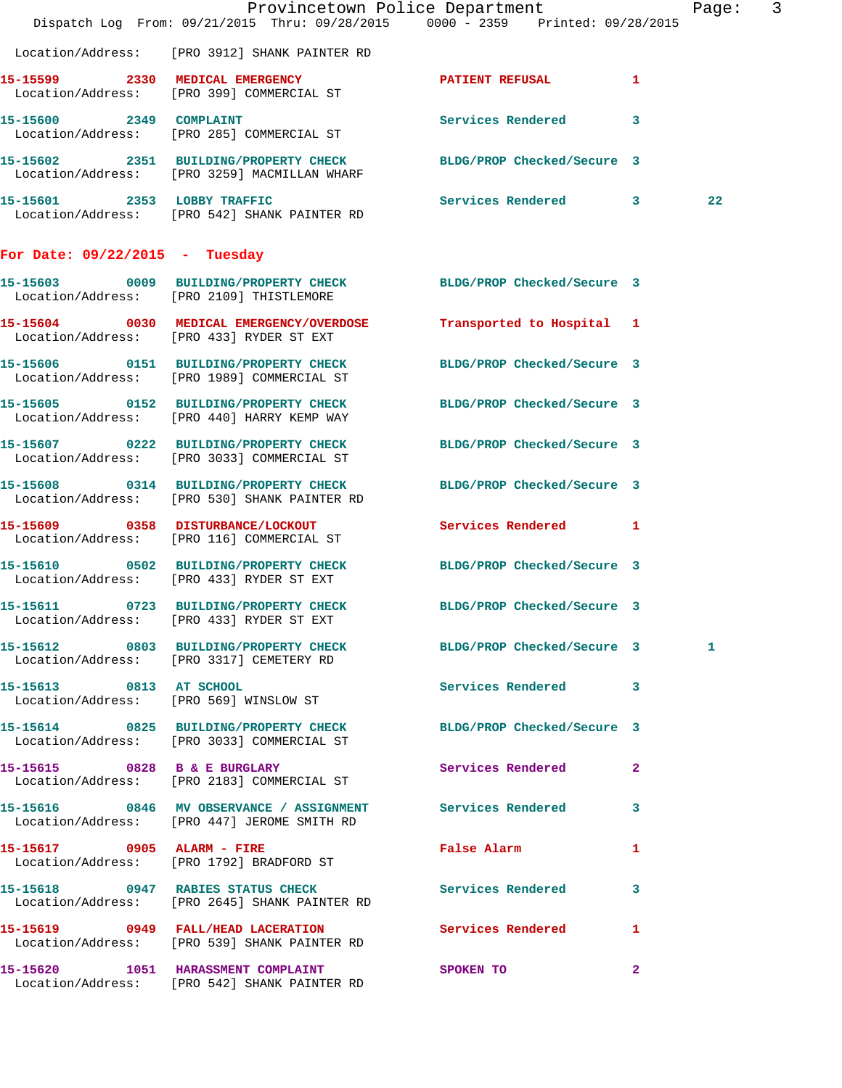|                                  | Dispatch Log From: 09/21/2015 Thru: 09/28/2015 0000 - 2359 Printed: 09/28/2015                                   | Provincetown Police Department |              | Page: 3 |  |
|----------------------------------|------------------------------------------------------------------------------------------------------------------|--------------------------------|--------------|---------|--|
|                                  | Location/Address: [PRO 3912] SHANK PAINTER RD                                                                    |                                |              |         |  |
|                                  | 15-15599 2330 MEDICAL EMERGENCY<br>Location/Address: [PRO 399] COMMERCIAL ST                                     | PATIENT REFUSAL 1              |              |         |  |
|                                  | 15-15600 2349 COMPLAINT<br>Location/Address: [PRO 285] COMMERCIAL ST                                             | Services Rendered 3            |              |         |  |
|                                  | 15-15602 2351 BUILDING/PROPERTY CHECK BLDG/PROP Checked/Secure 3<br>Location/Address: [PRO 3259] MACMILLAN WHARF |                                |              |         |  |
|                                  | 15-15601 2353 LOBBY TRAFFIC<br>Location/Address: [PRO 542] SHANK PAINTER RD                                      | Services Rendered 3            |              | 22      |  |
| For Date: $09/22/2015$ - Tuesday |                                                                                                                  |                                |              |         |  |
|                                  | 15-15603 0009 BUILDING/PROPERTY CHECK BLDG/PROP Checked/Secure 3<br>Location/Address: [PRO 2109] THISTLEMORE     |                                |              |         |  |
|                                  | 15-15604 0030 MEDICAL EMERGENCY/OVERDOSE<br>Location/Address: [PRO 433] RYDER ST EXT                             | Transported to Hospital 1      |              |         |  |
|                                  | 15-15606 0151 BUILDING/PROPERTY CHECK<br>Location/Address: [PRO 1989] COMMERCIAL ST                              | BLDG/PROP Checked/Secure 3     |              |         |  |
|                                  | 15-15605 0152 BUILDING/PROPERTY CHECK<br>Location/Address: [PRO 440] HARRY KEMP WAY                              | BLDG/PROP Checked/Secure 3     |              |         |  |
|                                  | 15-15607 0222 BUILDING/PROPERTY CHECK<br>Location/Address: [PRO 3033] COMMERCIAL ST                              | BLDG/PROP Checked/Secure 3     |              |         |  |
|                                  | 15-15608 0314 BUILDING/PROPERTY CHECK<br>Location/Address: [PRO 530] SHANK PAINTER RD                            | BLDG/PROP Checked/Secure 3     |              |         |  |
|                                  | 15-15609 0358 DISTURBANCE/LOCKOUT<br>Location/Address: [PRO 116] COMMERCIAL ST                                   | Services Rendered 1            |              |         |  |
|                                  | 15-15610 0502 BUILDING/PROPERTY CHECK<br>Location/Address: [PRO 433] RYDER ST EXT                                | BLDG/PROP Checked/Secure 3     |              |         |  |
|                                  | 15-15611 0723 BUILDING/PROPERTY CHECK BLDG/PROP Checked/Secure 3<br>Location/Address: [PRO 433] RYDER ST EXT     |                                |              |         |  |
|                                  | 15-15612 0803 BUILDING/PROPERTY CHECK BLDG/PROP Checked/Secure 3<br>Location/Address: [PRO 3317] CEMETERY RD     |                                |              | 1       |  |
|                                  | 15-15613 0813 AT SCHOOL<br>Location/Address: [PRO 569] WINSLOW ST                                                | Services Rendered 3            |              |         |  |
|                                  | 15-15614 0825 BUILDING/PROPERTY CHECK BLDG/PROP Checked/Secure 3<br>Location/Address: [PRO 3033] COMMERCIAL ST   |                                |              |         |  |
|                                  | 15-15615 0828 B & E BURGLARY<br>Location/Address: [PRO 2183] COMMERCIAL ST                                       | Services Rendered              | $\mathbf{2}$ |         |  |
|                                  | 15-15616 0846 MV OBSERVANCE / ASSIGNMENT Services Rendered 3<br>Location/Address: [PRO 447] JEROME SMITH RD      |                                |              |         |  |
|                                  | 15-15617 0905 ALARM - FIRE<br>Location/Address: [PRO 1792] BRADFORD ST                                           | False Alarm                    | 1            |         |  |
|                                  | 15-15618 0947 RABIES STATUS CHECK 5 Services Rendered 3<br>Location/Address: [PRO 2645] SHANK PAINTER RD         |                                |              |         |  |
|                                  | 15-15619 0949 FALL/HEAD LACERATION Services Rendered 1<br>Location/Address: [PRO 539] SHANK PAINTER RD           |                                |              |         |  |
|                                  | 15-15620 1051 HARASSMENT COMPLAINT<br>Location/Address: [PRO 542] SHANK PAINTER RD                               | <b>SPOKEN TO</b>               | $\mathbf{2}$ |         |  |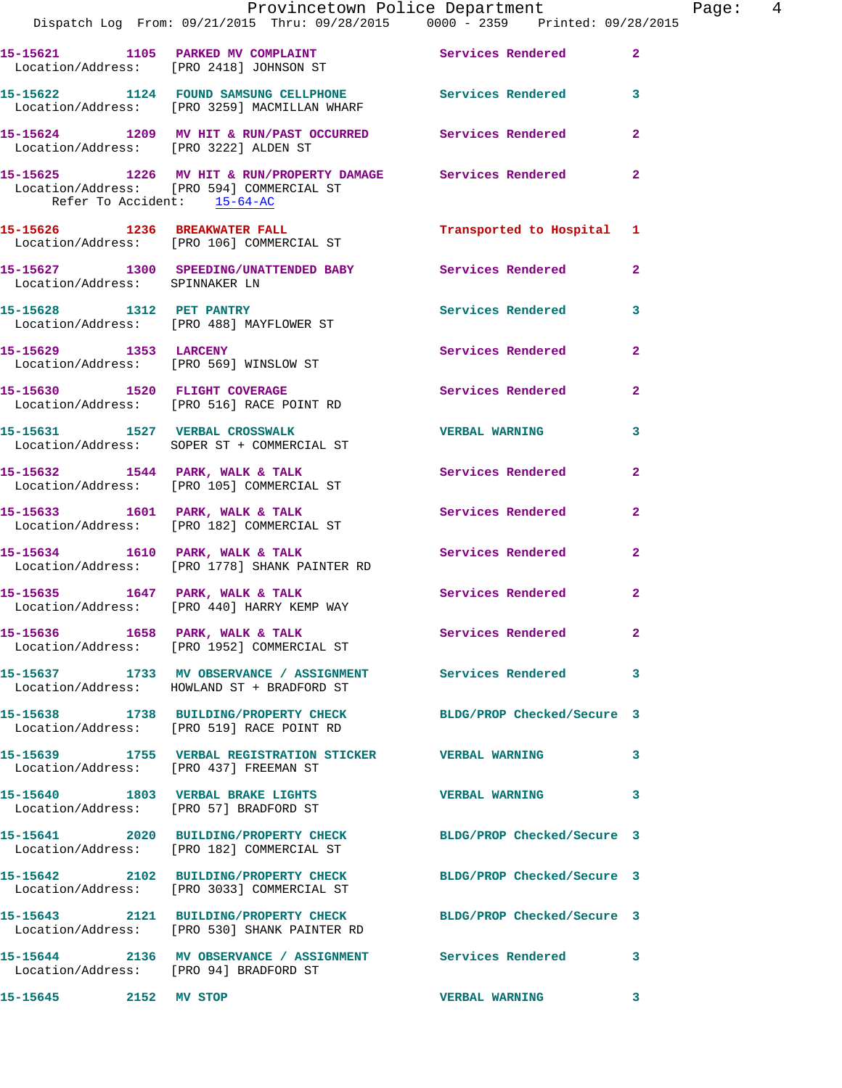|                                        | Dispatch Log From: 09/21/2015 Thru: 09/28/2015 0000 - 2359 Printed: 09/28/2015                                   | Provincetown Police Department |                         | Page: 4 |
|----------------------------------------|------------------------------------------------------------------------------------------------------------------|--------------------------------|-------------------------|---------|
|                                        | 15-15621 1105 PARKED MV COMPLAINT Services Rendered 2<br>Location/Address: [PRO 2418] JOHNSON ST                 |                                |                         |         |
|                                        | 15-15622 1124 FOUND SAMSUNG CELLPHONE Services Rendered 3<br>Location/Address: [PRO 3259] MACMILLAN WHARF        |                                |                         |         |
|                                        | 15-15624 1209 MV HIT & RUN/PAST OCCURRED Services Rendered<br>Location/Address: [PRO 3222] ALDEN ST              |                                | $\mathbf{2}$            |         |
| Refer To Accident: 15-64-AC            | 15-15625 1226 MV HIT & RUN/PROPERTY DAMAGE Services Rendered<br>Location/Address: [PRO 594] COMMERCIAL ST        |                                | $\mathbf{2}$            |         |
|                                        | 15-15626 1236 BREAKWATER FALL<br>Location/Address: [PRO 106] COMMERCIAL ST                                       | Transported to Hospital 1      |                         |         |
| Location/Address: SPINNAKER LN         | 15-15627 1300 SPEEDING/UNATTENDED BABY Services Rendered                                                         |                                | $\mathbf{2}$            |         |
|                                        | 15-15628 1312 PET PANTRY<br>Location/Address: [PRO 488] MAYFLOWER ST                                             | Services Rendered 3            |                         |         |
|                                        | 15-15629 1353 LARCENY<br>Location/Address: [PRO 569] WINSLOW ST                                                  | Services Rendered              | $\overline{a}$          |         |
|                                        | 15-15630 1520 FLIGHT COVERAGE<br>Location/Address: [PRO 516] RACE POINT RD                                       | Services Rendered              | $\overline{a}$          |         |
|                                        | 15-15631 1527 VERBAL CROSSWALK<br>Location/Address: SOPER ST + COMMERCIAL ST                                     | <b>VERBAL WARNING</b>          | 3                       |         |
|                                        | 15-15632 1544 PARK, WALK & TALK 1988 Services Rendered<br>Location/Address: [PRO 105] COMMERCIAL ST              |                                | $\overline{2}$          |         |
|                                        | 15-15633 1601 PARK, WALK & TALK (2008) Services Rendered 2<br>Location/Address: [PRO 182] COMMERCIAL ST          |                                |                         |         |
|                                        | 15-15634 1610 PARK, WALK & TALK 1610 Services Rendered<br>Location/Address: [PRO 1778] SHANK PAINTER RD          |                                | $\overline{2}$          |         |
|                                        | 15-15635 1647 PARK, WALK & TALK 1999 Services Rendered<br>Location/Address: [PRO 440] HARRY KEMP WAY             |                                | $\overline{\mathbf{2}}$ |         |
|                                        | 15-15636 1658 PARK, WALK & TALK 1988 Services Rendered<br>Location/Address: [PRO 1952] COMMERCIAL ST             |                                | $\mathbf{2}$            |         |
|                                        | 15-15637 1733 MV OBSERVANCE / ASSIGNMENT Services Rendered<br>Location/Address: HOWLAND ST + BRADFORD ST         |                                | 3                       |         |
|                                        | 15-15638 1738 BUILDING/PROPERTY CHECK BLDG/PROP Checked/Secure 3<br>Location/Address: [PRO 519] RACE POINT RD    |                                |                         |         |
| Location/Address: [PRO 437] FREEMAN ST | 15-15639 1755 VERBAL REGISTRATION STICKER WERBAL WARNING                                                         |                                | 3                       |         |
|                                        | 15-15640 1803 VERBAL BRAKE LIGHTS WERBAL WARNING<br>Location/Address: [PRO 57] BRADFORD ST                       |                                | 3                       |         |
|                                        | 15-15641 2020 BUILDING/PROPERTY CHECK BLDG/PROP Checked/Secure 3<br>Location/Address: [PRO 182] COMMERCIAL ST    |                                |                         |         |
|                                        | 15-15642 2102 BUILDING/PROPERTY CHECK BLDG/PROP Checked/Secure 3<br>Location/Address: [PRO 3033] COMMERCIAL ST   |                                |                         |         |
|                                        | 15-15643 2121 BUILDING/PROPERTY CHECK BLDG/PROP Checked/Secure 3<br>Location/Address: [PRO 530] SHANK PAINTER RD |                                |                         |         |
| Location/Address: [PRO 94] BRADFORD ST | 15-15644 2136 MV OBSERVANCE / ASSIGNMENT Services Rendered                                                       |                                | 3                       |         |
| 15-15645 2152 MV STOP                  |                                                                                                                  | <b>VERBAL WARNING</b>          | 3                       |         |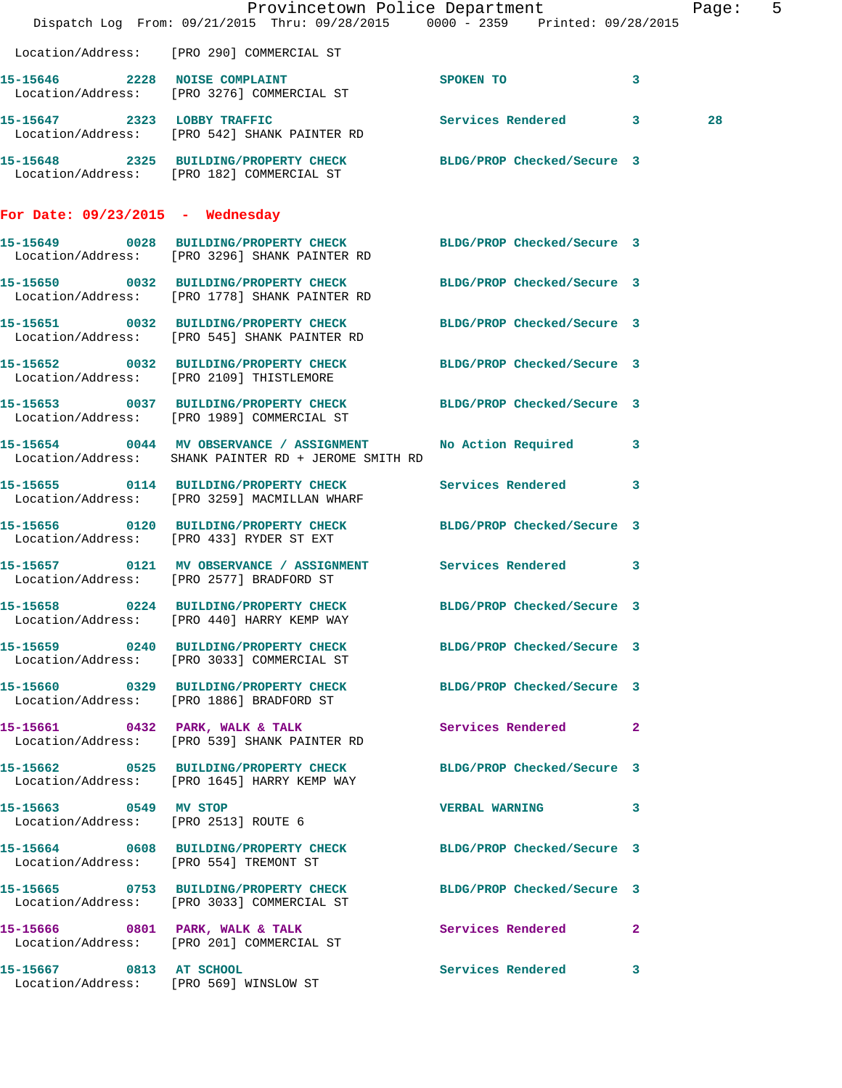|                                    | Dispatch Log From: 09/21/2015 Thru: 09/28/2015 0000 - 2359 Printed: 09/28/2015                                  | Provincetown Police Department |              | Page: 5 |  |
|------------------------------------|-----------------------------------------------------------------------------------------------------------------|--------------------------------|--------------|---------|--|
|                                    | Location/Address: [PRO 290] COMMERCIAL ST                                                                       |                                |              |         |  |
|                                    | 15-15646 2228 NOISE COMPLAINT<br>Location/Address: [PRO 3276] COMMERCIAL ST                                     | SPOKEN TO                      | 3            |         |  |
|                                    | 15-15647 2323 LOBBY TRAFFIC<br>Location/Address: [PRO 542] SHANK PAINTER RD                                     | Services Rendered 3            |              | 28      |  |
|                                    | 15-15648 2325 BUILDING/PROPERTY CHECK BLDG/PROP Checked/Secure 3<br>Location/Address: [PRO 182] COMMERCIAL ST   |                                |              |         |  |
| For Date: $09/23/2015$ - Wednesday |                                                                                                                 |                                |              |         |  |
|                                    | 15-15649 0028 BUILDING/PROPERTY CHECK<br>Location/Address: [PRO 3296] SHANK PAINTER RD                          | BLDG/PROP Checked/Secure 3     |              |         |  |
|                                    | 15-15650 0032 BUILDING/PROPERTY CHECK<br>Location/Address: [PRO 1778] SHANK PAINTER RD                          | BLDG/PROP Checked/Secure 3     |              |         |  |
|                                    | 15-15651 0032 BUILDING/PROPERTY CHECK<br>Location/Address: [PRO 545] SHANK PAINTER RD                           | BLDG/PROP Checked/Secure 3     |              |         |  |
|                                    | 15-15652 0032 BUILDING/PROPERTY CHECK<br>Location/Address: [PRO 2109] THISTLEMORE                               | BLDG/PROP Checked/Secure 3     |              |         |  |
|                                    | 15-15653 0037 BUILDING/PROPERTY CHECK<br>Location/Address: [PRO 1989] COMMERCIAL ST                             | BLDG/PROP Checked/Secure 3     |              |         |  |
|                                    | 15-15654 0044 MV OBSERVANCE / ASSIGNMENT<br>Location/Address: SHANK PAINTER RD + JEROME SMITH RD                | No Action Required 3           |              |         |  |
|                                    | 15-15655 0114 BUILDING/PROPERTY CHECK<br>Location/Address: [PRO 3259] MACMILLAN WHARF                           | Services Rendered              | $\mathbf{3}$ |         |  |
|                                    | 15-15656 0120 BUILDING/PROPERTY CHECK<br>Location/Address: [PRO 433] RYDER ST EXT                               | BLDG/PROP Checked/Secure 3     |              |         |  |
|                                    | 15-15657 0121 MV OBSERVANCE / ASSIGNMENT Services Rendered 3<br>Location/Address: [PRO 2577] BRADFORD ST        |                                |              |         |  |
|                                    | 15-15658 0224 BUILDING/PROPERTY CHECK BLDG/PROP Checked/Secure 3<br>Location/Address: [PRO 440] HARRY KEMP WAY  |                                |              |         |  |
|                                    | 15-15659 0240 BUILDING/PROPERTY CHECK BLDG/PROP Checked/Secure 3<br>Location/Address: [PRO 3033] COMMERCIAL ST  |                                |              |         |  |
|                                    | 15-15660 0329 BUILDING/PROPERTY CHECK BLDG/PROP Checked/Secure 3<br>Location/Address: [PRO 1886] BRADFORD ST    |                                |              |         |  |
|                                    | 15-15661 0432 PARK, WALK & TALK 6 Services Rendered 2<br>Location/Address: [PRO 539] SHANK PAINTER RD           |                                |              |         |  |
|                                    | 15-15662 0525 BUILDING/PROPERTY CHECK BLDG/PROP Checked/Secure 3<br>Location/Address: [PRO 1645] HARRY KEMP WAY |                                |              |         |  |
| 15-15663 0549 MV STOP              | Location/Address: [PRO 2513] ROUTE 6                                                                            | VERBAL WARNING 3               |              |         |  |
|                                    | 15-15664 0608 BUILDING/PROPERTY CHECK BLDG/PROP Checked/Secure 3<br>Location/Address: [PRO 554] TREMONT ST      |                                |              |         |  |
|                                    | 15-15665 0753 BUILDING/PROPERTY CHECK BLDG/PROP Checked/Secure 3<br>Location/Address: [PRO 3033] COMMERCIAL ST  |                                |              |         |  |
|                                    | 15-15666 0801 PARK, WALK & TALK<br>Location/Address: [PRO 201] COMMERCIAL ST                                    | Services Rendered 2            |              |         |  |
| 15-15667 0813 AT SCHOOL            | Location/Address: [PRO 569] WINSLOW ST                                                                          | Services Rendered 3            |              |         |  |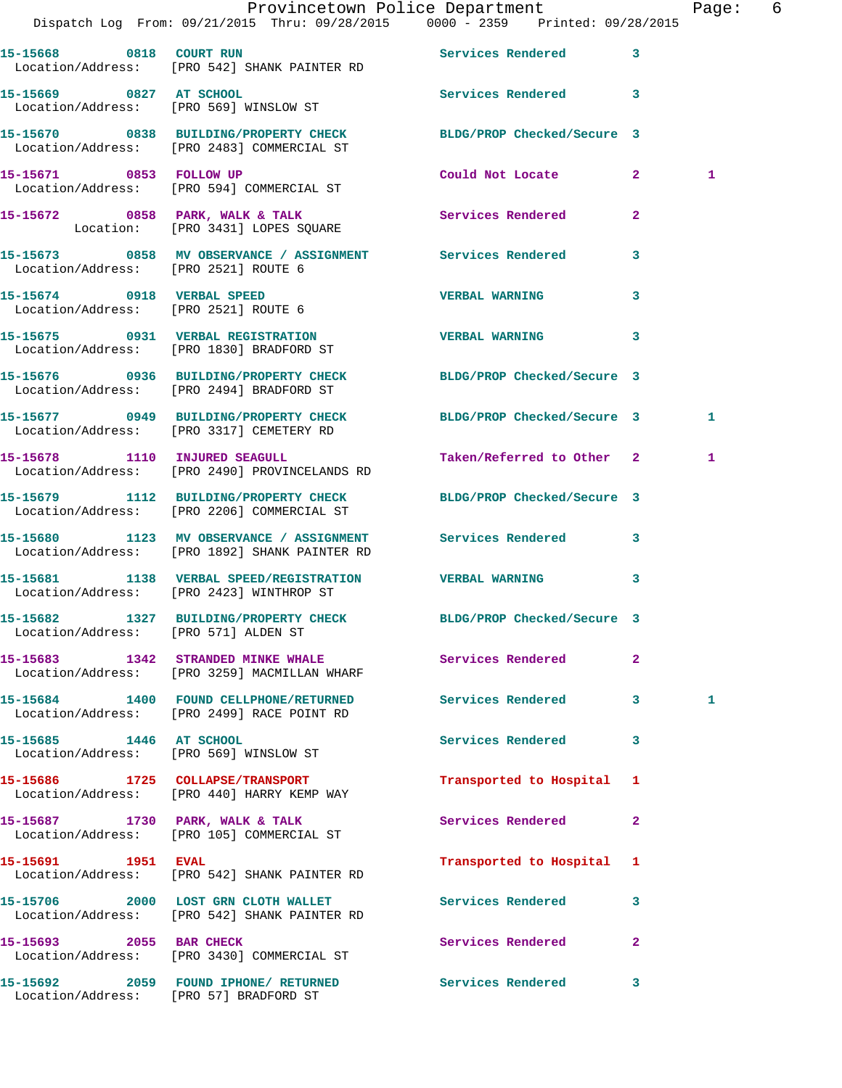|                                        | Provincetown Police Department The Page: 6<br>Dispatch Log From: 09/21/2015 Thru: 09/28/2015 0000 - 2359 Printed: 09/28/2015 |                            |              |   |  |
|----------------------------------------|------------------------------------------------------------------------------------------------------------------------------|----------------------------|--------------|---|--|
|                                        | 15-15668 0818 COURT RUN COURT COURT AND SETTLES Rendered<br>Location/Address: [PRO 542] SHANK PAINTER RD                     |                            | $\mathbf{3}$ |   |  |
| 15-15669 0827 AT SCHOOL                | Location/Address: [PRO 569] WINSLOW ST                                                                                       | Services Rendered 3        |              |   |  |
|                                        | 15-15670 0838 BUILDING/PROPERTY CHECK BLDG/PROP Checked/Secure 3<br>Location/Address: [PRO 2483] COMMERCIAL ST               |                            |              |   |  |
|                                        | 15-15671 0853 FOLLOW UP<br>Location/Address: [PRO 594] COMMERCIAL ST                                                         | Could Not Locate 2         |              | 1 |  |
|                                        | 15-15672 0858 PARK, WALK & TALK (Services Rendered Location: [PRO 3431] LOPES SQUARE                                         |                            | $\mathbf{2}$ |   |  |
| Location/Address: [PRO 2521] ROUTE 6   | 15-15673 0858 MV OBSERVANCE / ASSIGNMENT Services Rendered                                                                   |                            | 3            |   |  |
| 15-15674 0918 VERBAL SPEED             | Location/Address: [PRO 2521] ROUTE 6                                                                                         | <b>VERBAL WARNING</b>      | 3            |   |  |
|                                        | 15-15675 0931 VERBAL REGISTRATION<br>Location/Address: [PRO 1830] BRADFORD ST                                                | <b>VERBAL WARNING</b>      | 3            |   |  |
|                                        | 15-15676 0936 BUILDING/PROPERTY CHECK BLDG/PROP Checked/Secure 3<br>Location/Address: [PRO 2494] BRADFORD ST                 |                            |              |   |  |
|                                        | 15-15677 0949 BUILDING/PROPERTY CHECK BLDG/PROP Checked/Secure 3<br>Location/Address: [PRO 3317] CEMETERY RD                 |                            |              | 1 |  |
|                                        | 15-15678 1110 INJURED SEAGULL<br>Location/Address: [PRO 2490] PROVINCELANDS RD                                               | Taken/Referred to Other 2  |              | 1 |  |
|                                        | 15-15679 1112 BUILDING/PROPERTY CHECK BLDG/PROP Checked/Secure 3<br>Location/Address: [PRO 2206] COMMERCIAL ST               |                            |              |   |  |
|                                        | 15-15680 1123 MV OBSERVANCE / ASSIGNMENT Services Rendered 3<br>Location/Address: [PRO 1892] SHANK PAINTER RD                |                            |              |   |  |
|                                        | 15-15681      1138    VERBAL SPEED/REGISTRATION        VERBAL WARNING<br>Location/Address:    [PRO 2423] WINTHROP ST         |                            | $\mathbf{3}$ |   |  |
| Location/Address: [PRO 571] ALDEN ST   | 15-15682 1327 BUILDING/PROPERTY CHECK                                                                                        | BLDG/PROP Checked/Secure 3 |              |   |  |
|                                        | 15-15683 1342 STRANDED MINKE WHALE Services Rendered<br>Location/Address: [PRO 3259] MACMILLAN WHARF                         |                            | $\mathbf{2}$ |   |  |
|                                        | 15-15684 1400 FOUND CELLPHONE/RETURNED<br>Location/Address: [PRO 2499] RACE POINT RD                                         | Services Rendered 3        |              | 1 |  |
|                                        | 15-15685 1446 AT SCHOOL<br>Location/Address: [PRO 569] WINSLOW ST                                                            | <b>Services Rendered</b>   | 3            |   |  |
|                                        | 15-15686 1725 COLLAPSE/TRANSPORT<br>Location/Address: [PRO 440] HARRY KEMP WAY                                               | Transported to Hospital 1  |              |   |  |
|                                        | 15-15687 1730 PARK, WALK & TALK<br>Location/Address: [PRO 105] COMMERCIAL ST                                                 | Services Rendered          | 2            |   |  |
| 15-15691 1951 EVAL                     | Location/Address: [PRO 542] SHANK PAINTER RD                                                                                 | Transported to Hospital 1  |              |   |  |
|                                        | 15-15706 2000 LOST GRN CLOTH WALLET<br>Location/Address: [PRO 542] SHANK PAINTER RD                                          | <b>Services Rendered</b>   | 3            |   |  |
| 15-15693 2055 BAR CHECK                | Location/Address: [PRO 3430] COMMERCIAL ST                                                                                   | Services Rendered          | $\mathbf{2}$ |   |  |
| Location/Address: [PRO 57] BRADFORD ST | 15-15692 2059 FOUND IPHONE/ RETURNED Services Rendered                                                                       |                            | 3            |   |  |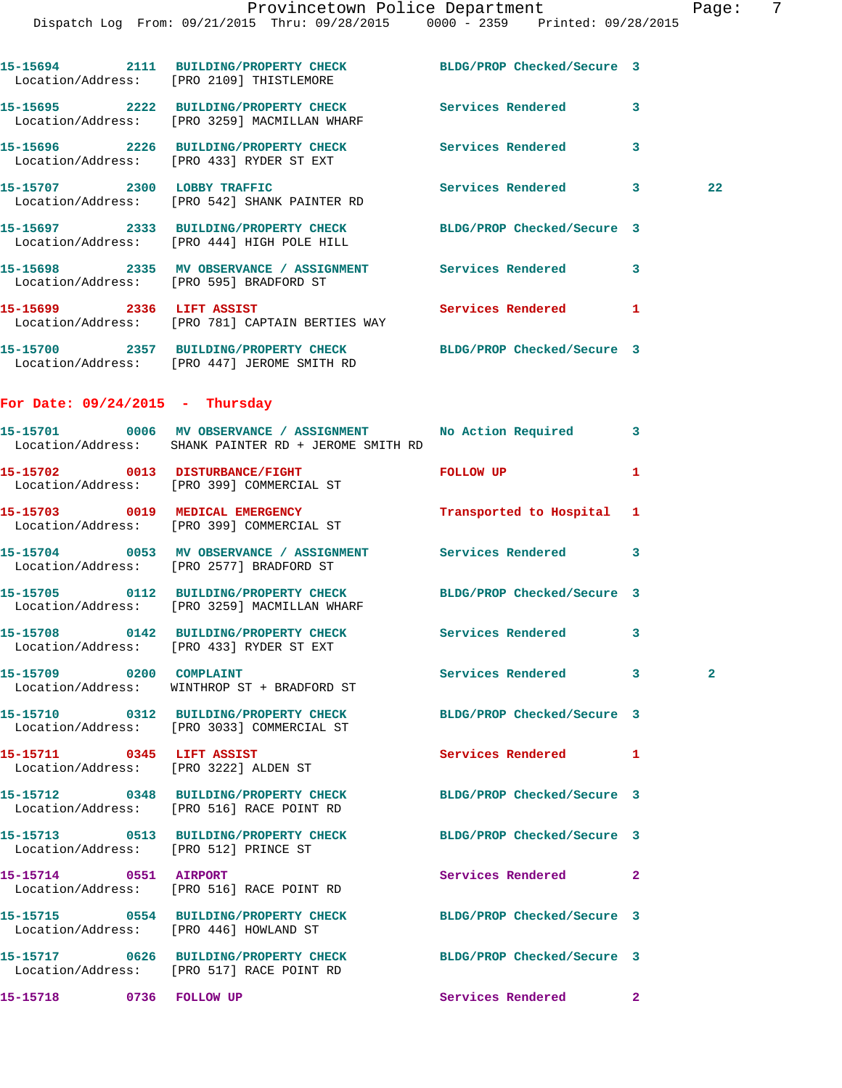|                                   | 15-15694 2111 BUILDING/PROPERTY CHECK BLDG/PROP Checked/Secure 3<br>Location/Address: [PRO 2109] THISTLEMORE          |                            |              |              |
|-----------------------------------|-----------------------------------------------------------------------------------------------------------------------|----------------------------|--------------|--------------|
|                                   | 15-15695 2222 BUILDING/PROPERTY CHECK Services Rendered<br>Location/Address: [PRO 3259] MACMILLAN WHARF               |                            | $\mathbf{3}$ |              |
|                                   | 15-15696 2226 BUILDING/PROPERTY CHECK<br>Location/Address: [PRO 433] RYDER ST EXT                                     | Services Rendered          | 3            |              |
|                                   | 15-15707 2300 LOBBY TRAFFIC<br>Location/Address: [PRO 542] SHANK PAINTER RD                                           | Services Rendered 3        |              | 22           |
|                                   | 15-15697 2333 BUILDING/PROPERTY CHECK BLDG/PROP Checked/Secure 3<br>Location/Address: [PRO 444] HIGH POLE HILL        |                            |              |              |
|                                   | 15-15698 2335 MV OBSERVANCE / ASSIGNMENT Services Rendered<br>Location/Address: [PRO 595] BRADFORD ST                 |                            | 3            |              |
| 15-15699 2336 LIFT ASSIST         | Location/Address: [PRO 781] CAPTAIN BERTIES WAY                                                                       | Services Rendered          | $\mathbf{1}$ |              |
|                                   | 15-15700 2357 BUILDING/PROPERTY CHECK BLDG/PROP Checked/Secure 3<br>Location/Address: [PRO 447] JEROME SMITH RD       |                            |              |              |
| For Date: $09/24/2015$ - Thursday |                                                                                                                       |                            |              |              |
|                                   | 15-15701 0006 MV OBSERVANCE / ASSIGNMENT No Action Required 3<br>Location/Address: SHANK PAINTER RD + JEROME SMITH RD |                            |              |              |
|                                   | 15-15702 0013 DISTURBANCE/FIGHT<br>Location/Address: [PRO 399] COMMERCIAL ST                                          | <b>EQLLOW UP</b>           | 1            |              |
|                                   | 15-15703 0019 MEDICAL EMERGENCY<br>Location/Address: [PRO 399] COMMERCIAL ST                                          | Transported to Hospital 1  |              |              |
|                                   | 15-15704 0053 MV OBSERVANCE / ASSIGNMENT Services Rendered<br>Location/Address: [PRO 2577] BRADFORD ST                |                            | 3            |              |
|                                   | 15-15705 0112 BUILDING/PROPERTY CHECK BLDG/PROP Checked/Secure 3<br>Location/Address: [PRO 3259] MACMILLAN WHARF      |                            |              |              |
|                                   | 15-15708 0142 BUILDING/PROPERTY CHECK Services Rendered<br>Location/Address: [PRO 433] RYDER ST EXT                   |                            | 3            |              |
| 15-15709 0200 COMPLAINT           | Location/Address: WINTHROP ST + BRADFORD ST                                                                           | Services Rendered          | $\mathbf{3}$ | $\mathbf{2}$ |
|                                   | 15-15710 0312 BUILDING/PROPERTY CHECK<br>Location/Address: [PRO 3033] COMMERCIAL ST                                   | BLDG/PROP Checked/Secure 3 |              |              |
|                                   | 15-15711 0345 LIFT ASSIST<br>Location/Address: [PRO 3222] ALDEN ST                                                    | Services Rendered          | $\mathbf{1}$ |              |
|                                   | 15-15712 0348 BUILDING/PROPERTY CHECK<br>Location/Address: [PRO 516] RACE POINT RD                                    | BLDG/PROP Checked/Secure 3 |              |              |
|                                   | 15-15713 0513 BUILDING/PROPERTY CHECK BLDG/PROP Checked/Secure 3<br>Location/Address: [PRO 512] PRINCE ST             |                            |              |              |
| 15-15714 0551 AIRPORT             | Location/Address: [PRO 516] RACE POINT RD                                                                             | Services Rendered          | 2            |              |
|                                   | 15-15715 0554 BUILDING/PROPERTY CHECK<br>Location/Address: [PRO 446] HOWLAND ST                                       | BLDG/PROP Checked/Secure 3 |              |              |
|                                   | 15-15717 0626 BUILDING/PROPERTY CHECK<br>Location/Address: [PRO 517] RACE POINT RD                                    | BLDG/PROP Checked/Secure 3 |              |              |
| 15-15718 0736 FOLLOW UP           |                                                                                                                       | Services Rendered          | $\mathbf{2}$ |              |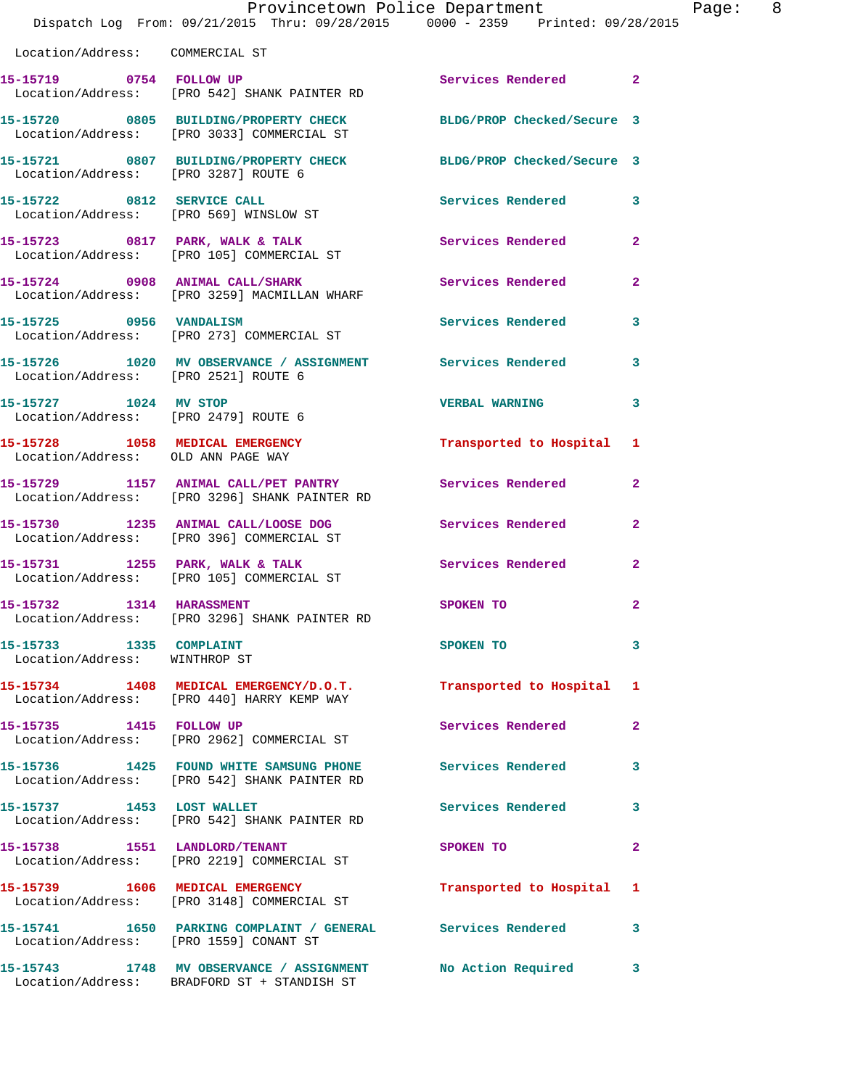|                                                               | Dispatch Log From: 09/21/2015 Thru: 09/28/2015 0000 - 2359 Printed: 09/28/2015                                      | Provincetown Police Department        | Page: 8                 |
|---------------------------------------------------------------|---------------------------------------------------------------------------------------------------------------------|---------------------------------------|-------------------------|
| Location/Address: COMMERCIAL ST                               |                                                                                                                     |                                       |                         |
|                                                               | 15-15719 0754 FOLLOW UP<br>Location/Address: [PRO 542] SHANK PAINTER RD                                             | Services Rendered 2                   |                         |
|                                                               | 15-15720 0805 BUILDING/PROPERTY CHECK BLDG/PROP Checked/Secure 3<br>Location/Address: [PRO 3033] COMMERCIAL ST      |                                       |                         |
| Location/Address: [PRO 3287] ROUTE 6                          | 15-15721 0807 BUILDING/PROPERTY CHECK BLDG/PROP Checked/Secure 3                                                    |                                       |                         |
|                                                               | 15-15722 0812 SERVICE CALL<br>Location/Address: [PRO 569] WINSLOW ST                                                | Services Rendered 3                   |                         |
|                                                               | 15-15723 0817 PARK, WALK & TALK Services Rendered 2<br>Location/Address: [PRO 105] COMMERCIAL ST                    |                                       |                         |
|                                                               | 15-15724     0908   ANIMAL CALL/SHARK<br>Location/Address:   [PRO 3259] MACMILLAN WHARF                             | Services Rendered                     | $\mathbf{2}$            |
| 15-15725 0956 VANDALISM                                       | Location/Address: [PRO 273] COMMERCIAL ST                                                                           | Services Rendered                     | 3                       |
| Location/Address: [PRO 2521] ROUTE 6                          | 15-15726 1020 MV OBSERVANCE / ASSIGNMENT Services Rendered 3                                                        |                                       |                         |
| 15-15727 1024 MV STOP<br>Location/Address: [PRO 2479] ROUTE 6 |                                                                                                                     | <b>VERBAL WARNING</b>                 | 3                       |
| Location/Address: OLD ANN PAGE WAY                            | 15-15728 1058 MEDICAL EMERGENCY                                                                                     | Transported to Hospital 1             |                         |
|                                                               | 15-15729 1157 ANIMAL CALL/PET PANTRY Services Rendered<br>Location/Address: [PRO 3296] SHANK PAINTER RD             |                                       | $\overline{2}$          |
|                                                               | 15-15730 1235 ANIMAL CALL/LOOSE DOG<br>Location/Address: [PRO 396] COMMERCIAL ST                                    | Services Rendered                     | $\mathbf{2}$            |
|                                                               | 15-15731 1255 PARK, WALK & TALK<br>Location/Address: [PRO 105] COMMERCIAL ST                                        | Services Rendered                     | $\mathbf{2}$            |
| 15-15732 1314 HARASSMENT                                      | Location/Address: [PRO 3296] SHANK PAINTER RD                                                                       | SPOKEN TO                             | $\overline{2}$          |
| 15-15733 1335 COMPLAINT<br>Location/Address: WINTHROP ST      |                                                                                                                     | SPOKEN TO THE SPOKEN OF THE SPOKEN TO | 3                       |
|                                                               | 15-15734   1408   MEDICAL EMERGENCY/D.O.T.   Transported to Hospital 1   Location/Address: [PRO 440] HARRY KEMP WAY |                                       |                         |
| 15-15735 1415 FOLLOW UP                                       | Location/Address: [PRO 2962] COMMERCIAL ST                                                                          | Services Rendered                     | $\overline{2}$          |
|                                                               | 15-15736 1425 FOUND WHITE SAMSUNG PHONE Services Rendered<br>Location/Address: [PRO 542] SHANK PAINTER RD           |                                       | 3                       |
|                                                               | 15-15737 1453 LOST WALLET<br>Location/Address: [PRO 542] SHANK PAINTER RD                                           | Services Rendered                     | 3                       |
|                                                               | 15-15738 1551 LANDLORD/TENANT<br>Location/Address: [PRO 2219] COMMERCIAL ST                                         | SPOKEN TO                             | $\mathbf{2}$            |
|                                                               | 15-15739 1606 MEDICAL EMERGENCY<br>Location/Address: [PRO 3148] COMMERCIAL ST                                       | Transported to Hospital 1             |                         |
|                                                               | 15-15741 1650 PARKING COMPLAINT / GENERAL Services Rendered<br>Location/Address: [PRO 1559] CONANT ST               |                                       | $\overline{\mathbf{3}}$ |
|                                                               | 15-15743 1748 MV OBSERVANCE / ASSIGNMENT<br>Location/Address: BRADFORD ST + STANDISH ST                             | No Action Required                    | 3                       |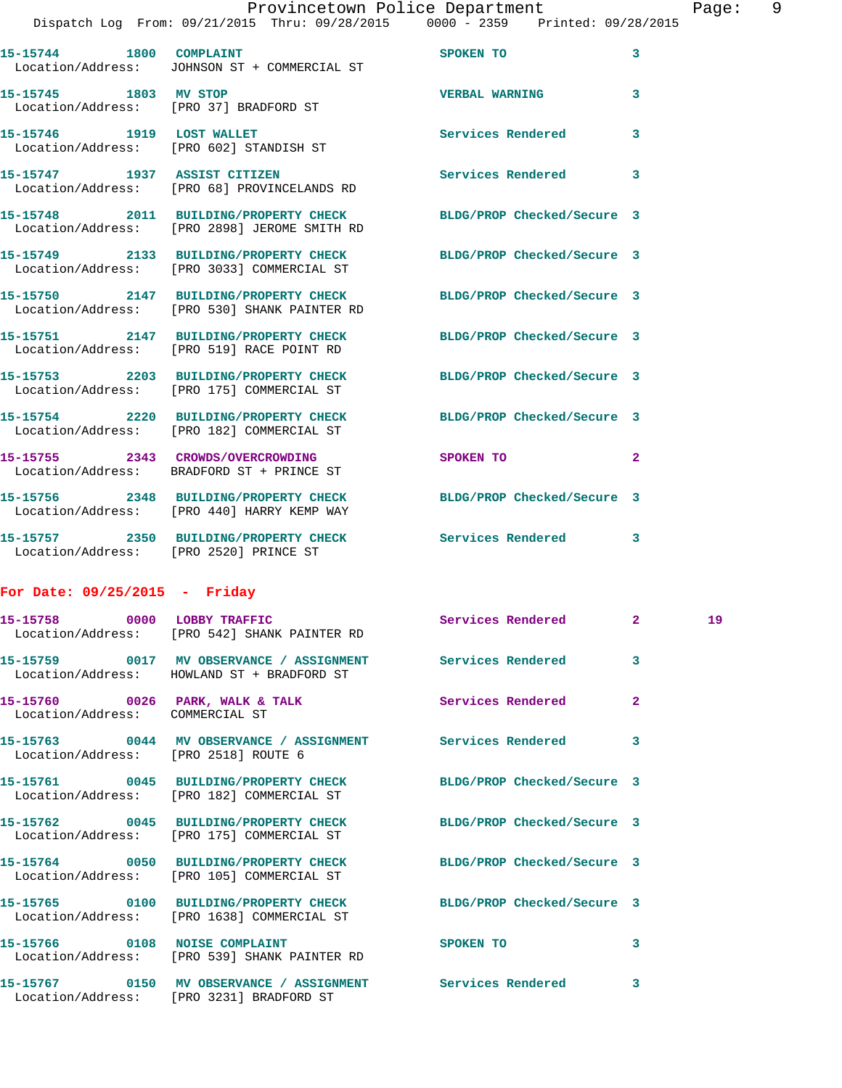|                         |                                                                                                                  | Provincetown Police Department | Page: 9                 |
|-------------------------|------------------------------------------------------------------------------------------------------------------|--------------------------------|-------------------------|
|                         | Dispatch Log From: 09/21/2015 Thru: 09/28/2015 0000 - 2359 Printed: 09/28/2015                                   |                                |                         |
| 15-15744 1800 COMPLAINT | Location/Address: JOHNSON ST + COMMERCIAL ST                                                                     | SPOKEN TO                      | 3                       |
| 15-15745 1803 MV STOP   | Location/Address: [PRO 37] BRADFORD ST                                                                           | <b>VERBAL WARNING</b>          | $\overline{\mathbf{3}}$ |
|                         | 15-15746 1919 LOST WALLET<br>Location/Address: [PRO 602] STANDISH ST                                             | <b>Services Rendered</b>       | 3                       |
|                         | 15-15747 1937 ASSIST CITIZEN<br>Location/Address: [PRO 68] PROVINCELANDS RD                                      | Services Rendered              | 3                       |
|                         | 15-15748 2011 BUILDING/PROPERTY CHECK BLDG/PROP Checked/Secure 3<br>Location/Address: [PRO 2898] JEROME SMITH RD |                                |                         |
|                         | 15-15749 2133 BUILDING/PROPERTY CHECK<br>Location/Address: [PRO 3033] COMMERCIAL ST                              | BLDG/PROP Checked/Secure 3     |                         |
|                         | 15-15750 2147 BUILDING/PROPERTY CHECK BLDG/PROP Checked/Secure 3<br>Location/Address: [PRO 530] SHANK PAINTER RD |                                |                         |
|                         | 15-15751 2147 BUILDING/PROPERTY CHECK<br>Location/Address: [PRO 519] RACE POINT RD                               | BLDG/PROP Checked/Secure 3     |                         |
|                         | 15-15753 2203 BUILDING/PROPERTY CHECK<br>Location/Address: [PRO 175] COMMERCIAL ST                               | BLDG/PROP Checked/Secure 3     |                         |
|                         | 15-15754 2220 BUILDING/PROPERTY CHECK<br>Location/Address: [PRO 182] COMMERCIAL ST                               | BLDG/PROP Checked/Secure 3     |                         |
|                         | 15-15755 2343 CROWDS/OVERCROWDING<br>Location/Address: BRADFORD ST + PRINCE ST                                   | SPOKEN TO                      | $\mathbf{2}$            |
|                         | 15-15756 2348 BUILDING/PROPERTY CHECK BLDG/PROP Checked/Secure 3<br>Location/Address: [PRO 440] HARRY KEMP WAY   |                                |                         |
|                         | 15-15757 2350 BUILDING/PROPERTY CHECK Services Rendered 3                                                        |                                |                         |

## **For Date: 09/25/2015 - Friday**

Location/Address: [PRO 2520] PRINCE ST

|                                      | 15-15758 0000 LOBBY TRAFFIC Services Rendered 2<br>Location/Address: [PRO 542] SHANK PAINTER RD                |                         | 19 |
|--------------------------------------|----------------------------------------------------------------------------------------------------------------|-------------------------|----|
|                                      | 15-15759 0017 MV OBSERVANCE / ASSIGNMENT Services Rendered<br>Location/Address: HOWLAND ST + BRADFORD ST       | $\overline{3}$          |    |
| Location/Address: COMMERCIAL ST      | 15-15760 0026 PARK, WALK & TALK Services Rendered                                                              | $\overline{2}$          |    |
| Location/Address: [PRO 2518] ROUTE 6 | 15-15763 0044 MV OBSERVANCE / ASSIGNMENT Services Rendered                                                     | $\overline{\mathbf{3}}$ |    |
|                                      | 15-15761 0045 BUILDING/PROPERTY CHECK BLDG/PROP Checked/Secure 3<br>Location/Address: [PRO 182] COMMERCIAL ST  |                         |    |
|                                      | 15-15762 0045 BUILDING/PROPERTY CHECK BLDG/PROP Checked/Secure 3<br>Location/Address: [PRO 175] COMMERCIAL ST  |                         |    |
|                                      | 15-15764 0050 BUILDING/PROPERTY CHECK BLDG/PROP Checked/Secure 3<br>Location/Address: [PRO 105] COMMERCIAL ST  |                         |    |
|                                      | 15-15765 0100 BUILDING/PROPERTY CHECK BLDG/PROP Checked/Secure 3<br>Location/Address: [PRO 1638] COMMERCIAL ST |                         |    |
|                                      | 15-15766 0108 NOISE COMPLAINT SPOKEN TO<br>Location/Address: [PRO 539] SHANK PAINTER RD                        | $\overline{\mathbf{3}}$ |    |
|                                      | Location/Address: [PRO 3231] BRADFORD ST                                                                       | 3                       |    |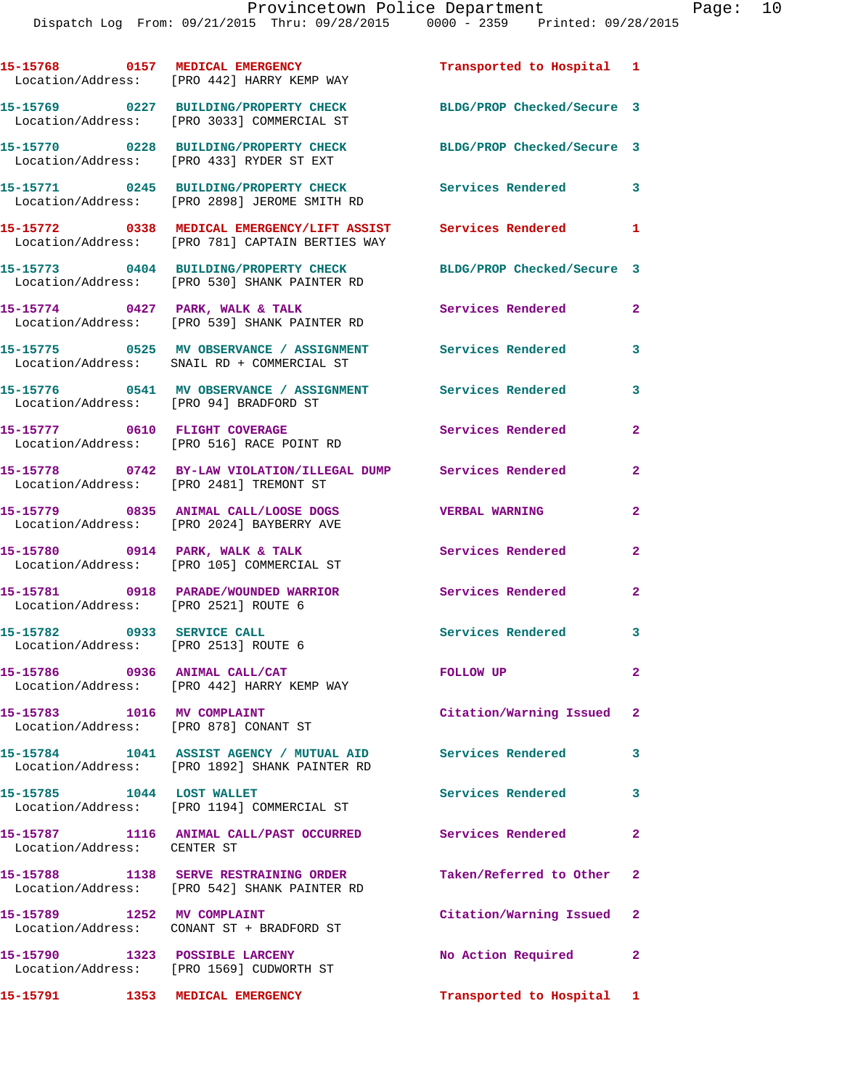|                                                                    | 15-15768 0157 MEDICAL EMERGENCY<br>Location/Address: [PRO 442] HARRY KEMP WAY                                      | Transported to Hospital 1  |                         |
|--------------------------------------------------------------------|--------------------------------------------------------------------------------------------------------------------|----------------------------|-------------------------|
|                                                                    | 15-15769 0227 BUILDING/PROPERTY CHECK<br>Location/Address: [PRO 3033] COMMERCIAL ST                                | BLDG/PROP Checked/Secure 3 |                         |
|                                                                    | 15-15770 0228 BUILDING/PROPERTY CHECK<br>Location/Address: [PRO 433] RYDER ST EXT                                  | BLDG/PROP Checked/Secure 3 |                         |
|                                                                    | 15-15771 0245 BUILDING/PROPERTY CHECK<br>Location/Address: [PRO 2898] JEROME SMITH RD                              | <b>Services Rendered</b>   | $\overline{\mathbf{3}}$ |
|                                                                    | 15-15772 0338 MEDICAL EMERGENCY/LIFT ASSIST Services Rendered 1<br>Location/Address: [PRO 781] CAPTAIN BERTIES WAY |                            |                         |
|                                                                    | 15-15773 0404 BUILDING/PROPERTY CHECK<br>Location/Address: [PRO 530] SHANK PAINTER RD                              | BLDG/PROP Checked/Secure 3 |                         |
|                                                                    | 15-15774 0427 PARK, WALK & TALK<br>Location/Address: [PRO 539] SHANK PAINTER RD                                    | Services Rendered 2        |                         |
|                                                                    | 15-15775 0525 MV OBSERVANCE / ASSIGNMENT Services Rendered<br>Location/Address: SNAIL RD + COMMERCIAL ST           |                            | 3                       |
| Location/Address: [PRO 94] BRADFORD ST                             | 15-15776 0541 MV OBSERVANCE / ASSIGNMENT Services Rendered                                                         |                            | 3                       |
|                                                                    | 15-15777 0610 FLIGHT COVERAGE<br>Location/Address: [PRO 516] RACE POINT RD                                         | Services Rendered          | $\mathbf{2}$            |
|                                                                    | 15-15778 0742 BY-LAW VIOLATION/ILLEGAL DUMP Services Rendered<br>Location/Address: [PRO 2481] TREMONT ST           |                            | $\overline{2}$          |
|                                                                    | 15-15779 0835 ANIMAL CALL/LOOSE DOGS<br>Location/Address: [PRO 2024] BAYBERRY AVE                                  | <b>VERBAL WARNING</b>      | $\mathbf{2}$            |
|                                                                    | 15-15780 0914 PARK, WALK & TALK<br>Location/Address: [PRO 105] COMMERCIAL ST                                       | Services Rendered          | $\overline{2}$          |
| Location/Address: [PRO 2521] ROUTE 6                               | 15-15781 0918 PARADE/WOUNDED WARRIOR                                                                               | Services Rendered          | $\overline{2}$          |
| 15-15782 0933 SERVICE CALL<br>Location/Address: [PRO 2513] ROUTE 6 |                                                                                                                    | <b>Services Rendered</b>   | 3                       |
|                                                                    | 15-15786 0936 ANIMAL CALL/CAT<br>Location/Address: [PRO 442] HARRY KEMP WAY                                        | <b>FOLLOW UP</b>           | $\mathbf{2}$            |
| 15-15783 1016 MV COMPLAINT                                         | Location/Address: [PRO 878] CONANT ST                                                                              | Citation/Warning Issued 2  |                         |
|                                                                    | 15-15784 1041 ASSIST AGENCY / MUTUAL AID Services Rendered<br>Location/Address: [PRO 1892] SHANK PAINTER RD        |                            | 3                       |
| 15-15785 1044 LOST WALLET                                          | Location/Address: [PRO 1194] COMMERCIAL ST                                                                         | Services Rendered 3        |                         |
| Location/Address: CENTER ST                                        | 15-15787 1116 ANIMAL CALL/PAST OCCURRED Services Rendered                                                          |                            | $\mathbf{2}$            |
|                                                                    | 15-15788 1138 SERVE RESTRAINING ORDER<br>Location/Address: [PRO 542] SHANK PAINTER RD                              | Taken/Referred to Other 2  |                         |
| 15-15789 1252 MV COMPLAINT                                         | Location/Address: CONANT ST + BRADFORD ST                                                                          | Citation/Warning Issued 2  |                         |
| 15-15790 1323 POSSIBLE LARCENY                                     | Location/Address: [PRO 1569] CUDWORTH ST                                                                           | No Action Required 2       |                         |
| 15-15791 1353 MEDICAL EMERGENCY                                    |                                                                                                                    | Transported to Hospital 1  |                         |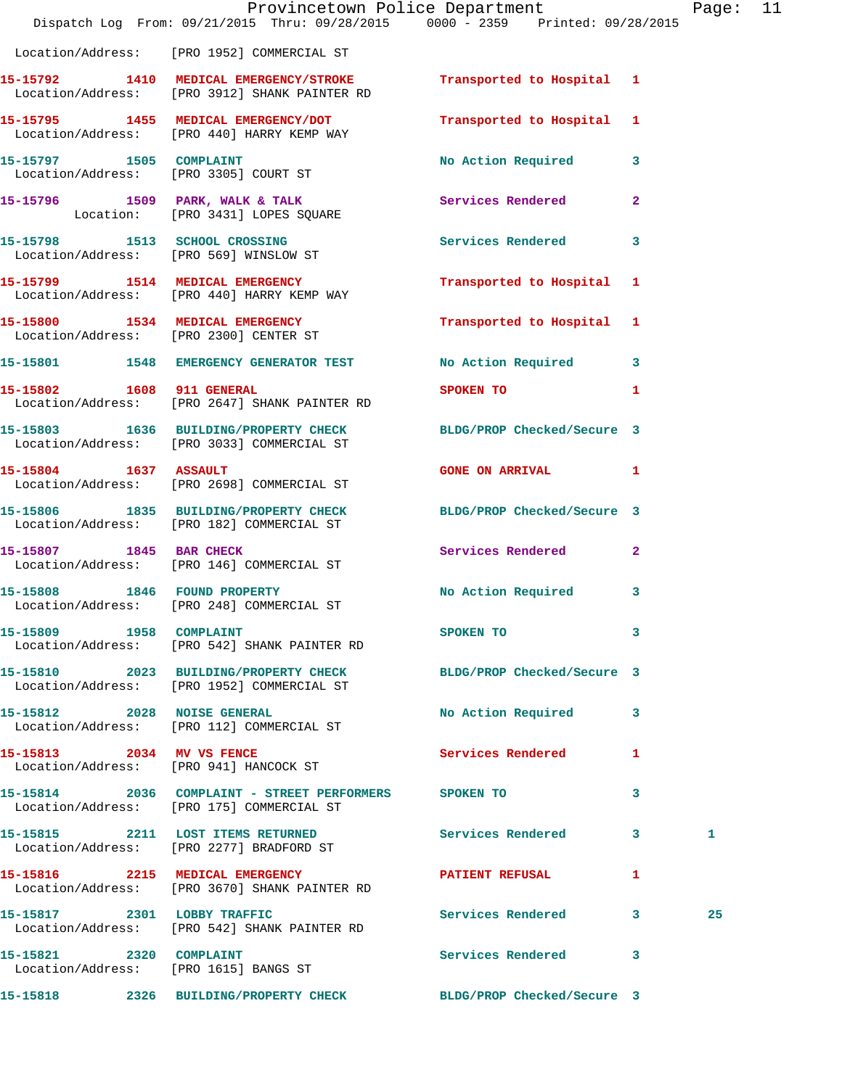|                         | Provincetown Police Department<br>Dispatch Log From: 09/21/2015 Thru: 09/28/2015 0000 - 2359 Printed: 09/28/2015  |                             |              | Page: 11 |  |
|-------------------------|-------------------------------------------------------------------------------------------------------------------|-----------------------------|--------------|----------|--|
|                         | Location/Address: [PRO 1952] COMMERCIAL ST                                                                        |                             |              |          |  |
|                         |                                                                                                                   | Transported to Hospital 1   |              |          |  |
|                         | 15-15795 1455 MEDICAL EMERGENCY/DOT<br>Location/Address: [PRO 440] HARRY KEMP WAY                                 | Transported to Hospital 1   |              |          |  |
| 15-15797 1505 COMPLAINT | Location/Address: [PRO 3305] COURT ST                                                                             | No Action Required 3        |              |          |  |
|                         | 15-15796 1509 PARK, WALK & TALK 1988 Services Rendered<br>Location: [PRO 3431] LOPES SQUARE                       |                             | $\mathbf{2}$ |          |  |
|                         | 15-15798 1513 SCHOOL CROSSING<br>Location/Address: [PRO 569] WINSLOW ST                                           | Services Rendered 3         |              |          |  |
|                         | 15-15799 1514 MEDICAL EMERGENCY<br>Location/Address: [PRO 440] HARRY KEMP WAY                                     | Transported to Hospital 1   |              |          |  |
|                         | 15-15800 1534 MEDICAL EMERGENCY<br>Location/Address: [PRO 2300] CENTER ST                                         | Transported to Hospital 1   |              |          |  |
|                         | 15-15801 1548 EMERGENCY GENERATOR TEST                                                                            | No Action Required 3        |              |          |  |
|                         | 15-15802 1608 911 GENERAL<br>Location/Address: [PRO 2647] SHANK PAINTER RD                                        | SPOKEN TO<br>$\blacksquare$ |              |          |  |
|                         | 15-15803 1636 BUILDING/PROPERTY CHECK BLDG/PROP Checked/Secure 3<br>Location/Address: [PRO 3033] COMMERCIAL ST    |                             |              |          |  |
| 15-15804 1637 ASSAULT   | Location/Address: [PRO 2698] COMMERCIAL ST                                                                        | GONE ON ARRIVAL 1           |              |          |  |
|                         | 15-15806 1835 BUILDING/PROPERTY CHECK BLDG/PROP Checked/Secure 3<br>Location/Address: [PRO 182] COMMERCIAL ST     |                             |              |          |  |
| 15-15807 1845 BAR CHECK | Location/Address: [PRO 146] COMMERCIAL ST                                                                         | Services Rendered 2         |              |          |  |
|                         | 15-15808 1846 FOUND PROPERTY<br>Location/Address: [PRO 248] COMMERCIAL ST                                         | No Action Required 3        |              |          |  |
| 15-15809 1958 COMPLAINT | Location/Address: [PRO 542] SHANK PAINTER RD                                                                      | SPOKEN TO                   | 3            |          |  |
|                         | 15-15810 2023 BUILDING/PROPERTY CHECK BLDG/PROP Checked/Secure 3<br>Location/Address: [PRO 1952] COMMERCIAL ST    |                             |              |          |  |
|                         | 15-15812 2028 NOISE GENERAL<br>Location/Address: [PRO 112] COMMERCIAL ST                                          | No Action Required 3        |              |          |  |
|                         | 15-15813 2034 MV VS FENCE<br>Location/Address: [PRO 941] HANCOCK ST                                               | Services Rendered 1         |              |          |  |
|                         | 15-15814 2036 COMPLAINT - STREET PERFORMERS SPOKEN TO<br>Location/Address: [PRO 175] COMMERCIAL ST                |                             | 3            |          |  |
|                         | 15-15815 2211 LOST ITEMS RETURNED<br>Location/Address: [PRO 2277] BRADFORD ST                                     | Services Rendered 3         |              | 1        |  |
|                         | 15-15816 2215 MEDICAL EMERGENCY <b>EXERGENER PATIENT REFUSAL</b><br>Location/Address: [PRO 3670] SHANK PAINTER RD |                             | $\mathbf{1}$ |          |  |
|                         | 15-15817 2301 LOBBY TRAFFIC<br>Location/Address: [PRO 542] SHANK PAINTER RD                                       | Services Rendered 3         |              | 25       |  |
| 15-15821 2320 COMPLAINT | Location/Address: [PRO 1615] BANGS ST                                                                             | Services Rendered 3         |              |          |  |
|                         | 15-15818 2326 BUILDING/PROPERTY CHECK BLDG/PROP Checked/Secure 3                                                  |                             |              |          |  |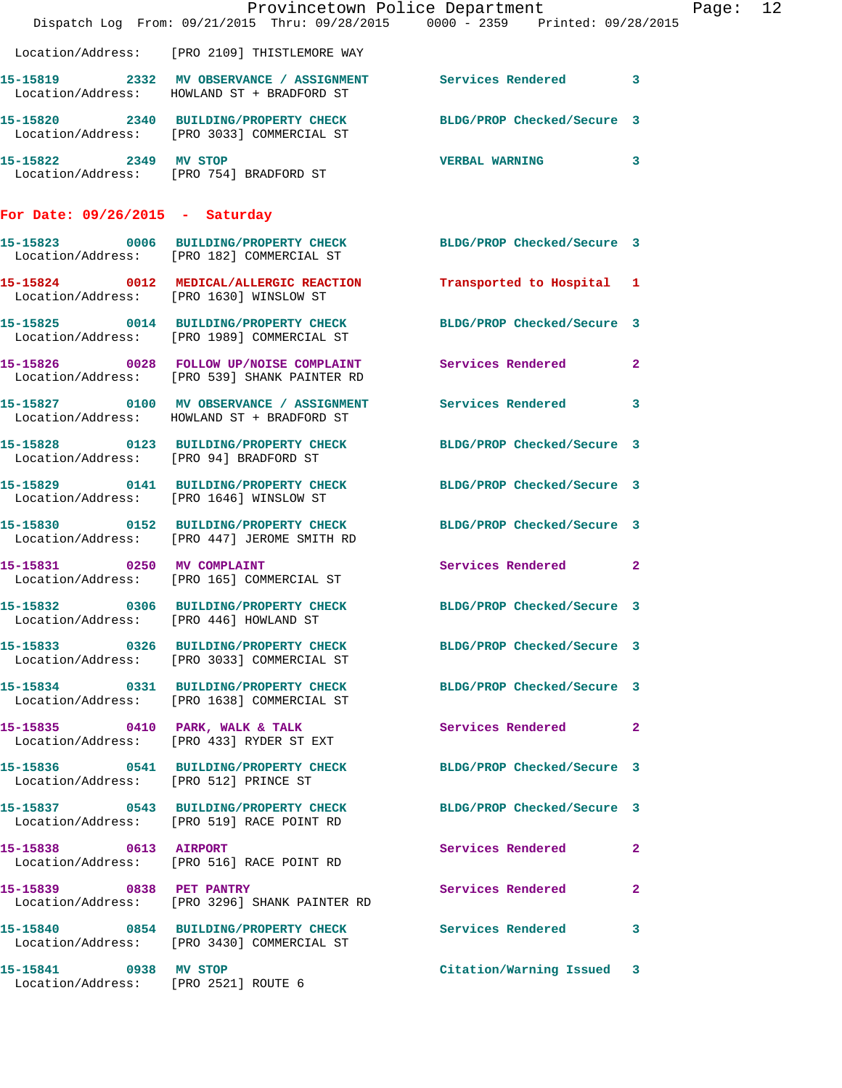|                                                               | Dispatch Log From: 09/21/2015 Thru: 09/28/2015 0000 - 2359 Printed: 09/28/2015                                  | Provincetown Police Department |              | Page: 12 |  |
|---------------------------------------------------------------|-----------------------------------------------------------------------------------------------------------------|--------------------------------|--------------|----------|--|
|                                                               | Location/Address: [PRO 2109] THISTLEMORE WAY                                                                    |                                |              |          |  |
|                                                               | 15-15819 2332 MV OBSERVANCE / ASSIGNMENT Services Rendered 3<br>Location/Address: HOWLAND ST + BRADFORD ST      |                                |              |          |  |
|                                                               | 15-15820 2340 BUILDING/PROPERTY CHECK<br>Location/Address: [PRO 3033] COMMERCIAL ST                             | BLDG/PROP Checked/Secure 3     |              |          |  |
| 15-15822 2349 MV STOP                                         | Location/Address: [PRO 754] BRADFORD ST                                                                         | VERBAL WARNING 3               |              |          |  |
| For Date: $09/26/2015$ - Saturday                             |                                                                                                                 |                                |              |          |  |
|                                                               | 15-15823 0006 BUILDING/PROPERTY CHECK BLDG/PROP Checked/Secure 3<br>Location/Address: [PRO 182] COMMERCIAL ST   |                                |              |          |  |
|                                                               | 15-15824 0012 MEDICAL/ALLERGIC REACTION Transported to Hospital 1 Location/Address: [PRO 1630] WINSLOW ST       |                                |              |          |  |
|                                                               | 15-15825 0014 BUILDING/PROPERTY CHECK<br>Location/Address: [PRO 1989] COMMERCIAL ST                             | BLDG/PROP Checked/Secure 3     |              |          |  |
|                                                               | 15-15826 0028 FOLLOW UP/NOISE COMPLAINT Services Rendered<br>Location/Address: [PRO 539] SHANK PAINTER RD       |                                | $\mathbf{2}$ |          |  |
|                                                               | 15-15827 0100 MV OBSERVANCE / ASSIGNMENT Services Rendered<br>Location/Address: HOWLAND ST + BRADFORD ST        |                                | $\mathbf{3}$ |          |  |
| Location/Address: [PRO 94] BRADFORD ST                        | 15-15828 0123 BUILDING/PROPERTY CHECK BLDG/PROP Checked/Secure 3                                                |                                |              |          |  |
|                                                               | 15-15829 0141 BUILDING/PROPERTY CHECK BLDG/PROP Checked/Secure 3<br>Location/Address: [PRO 1646] WINSLOW ST     |                                |              |          |  |
|                                                               | 15-15830 0152 BUILDING/PROPERTY CHECK BLDG/PROP Checked/Secure 3<br>Location/Address: [PRO 447] JEROME SMITH RD |                                |              |          |  |
| 15-15831 0250 MV COMPLAINT                                    | Location/Address: [PRO 165] COMMERCIAL ST                                                                       | Services Rendered              | $\mathbf{2}$ |          |  |
|                                                               | 15-15832 0306 BUILDING/PROPERTY CHECK<br>Location/Address: [PRO 446] HOWLAND ST                                 | BLDG/PROP Checked/Secure 3     |              |          |  |
|                                                               | 15-15833 0326 BUILDING/PROPERTY CHECK BLDG/PROP Checked/Secure 3<br>Location/Address: [PRO 3033] COMMERCIAL ST  |                                |              |          |  |
|                                                               | 15-15834 0331 BUILDING/PROPERTY CHECK<br>Location/Address: [PRO 1638] COMMERCIAL ST                             | BLDG/PROP Checked/Secure 3     |              |          |  |
|                                                               | 15-15835 0410 PARK, WALK & TALK<br>Location/Address: [PRO 433] RYDER ST EXT                                     | Services Rendered              | $\mathbf{2}$ |          |  |
| Location/Address: [PRO 512] PRINCE ST                         | 15-15836  0541 BUILDING/PROPERTY CHECK                                                                          | BLDG/PROP Checked/Secure 3     |              |          |  |
|                                                               | 15-15837 0543 BUILDING/PROPERTY CHECK BLDG/PROP Checked/Secure 3<br>Location/Address: [PRO 519] RACE POINT RD   |                                |              |          |  |
| 15-15838 0613 AIRPORT                                         | Location/Address: [PRO 516] RACE POINT RD                                                                       | Services Rendered              | $\mathbf{2}$ |          |  |
| 15-15839 0838 PET PANTRY                                      | Location/Address: [PRO 3296] SHANK PAINTER RD                                                                   | Services Rendered              | $\mathbf{2}$ |          |  |
|                                                               | 15-15840 0854 BUILDING/PROPERTY CHECK Services Rendered<br>Location/Address: [PRO 3430] COMMERCIAL ST           |                                | $\mathbf{3}$ |          |  |
| 15-15841 0938 MV STOP<br>Location/Address: [PRO 2521] ROUTE 6 |                                                                                                                 | Citation/Warning Issued 3      |              |          |  |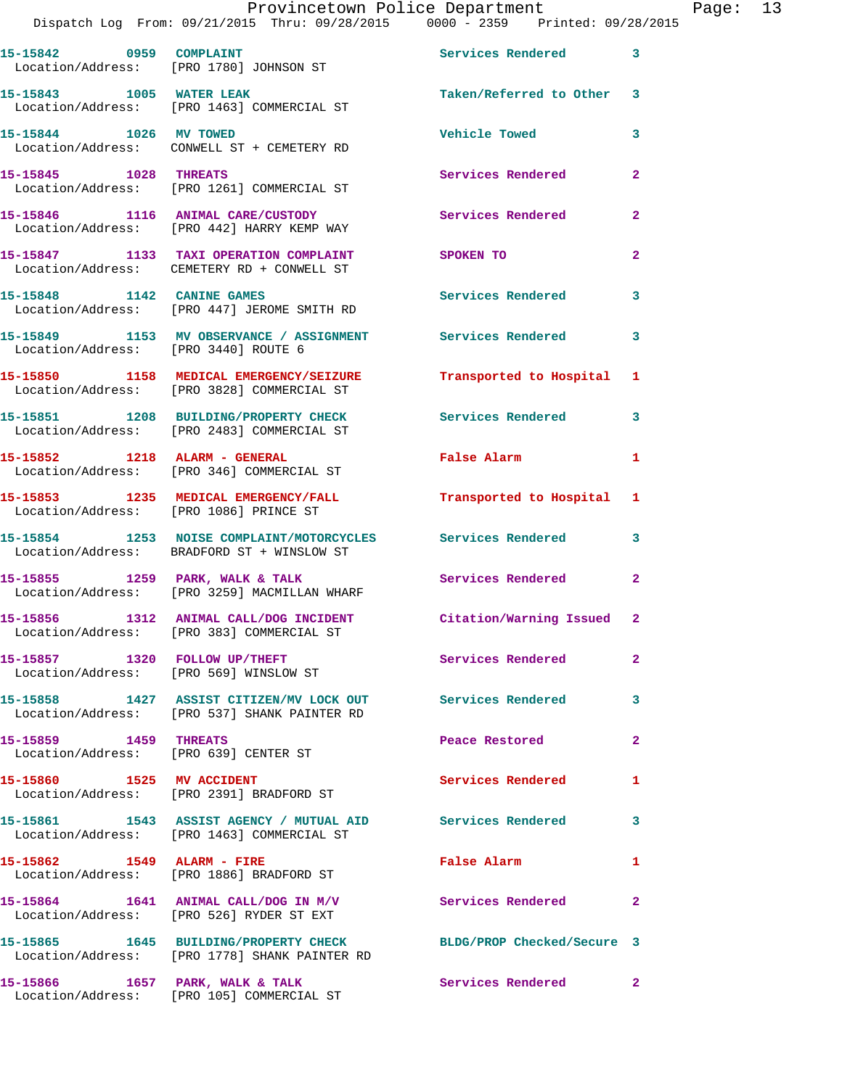| 15-15842 0959 COMPLAINT                                        | Location/Address: [PRO 1780] JOHNSON ST                                                                    | Services Rendered 3        |                |
|----------------------------------------------------------------|------------------------------------------------------------------------------------------------------------|----------------------------|----------------|
| 15-15843 1005 WATER LEAK                                       | Location/Address: [PRO 1463] COMMERCIAL ST                                                                 | Taken/Referred to Other 3  |                |
| 15-15844 1026 MV TOWED                                         | Location/Address: CONWELL ST + CEMETERY RD                                                                 | <b>Vehicle Towed</b>       | 3              |
| 15-15845 1028 THREATS                                          | Location/Address: [PRO 1261] COMMERCIAL ST                                                                 | Services Rendered          | $\overline{2}$ |
|                                                                | 15-15846 1116 ANIMAL CARE/CUSTODY<br>Location/Address: [PRO 442] HARRY KEMP WAY                            | Services Rendered          | $\mathbf{2}$   |
|                                                                | 15-15847 1133 TAXI OPERATION COMPLAINT<br>Location/Address: CEMETERY RD + CONWELL ST                       | SPOKEN TO                  | $\overline{2}$ |
| 15-15848 1142 CANINE GAMES                                     | Location/Address: [PRO 447] JEROME SMITH RD                                                                | Services Rendered          | 3              |
| Location/Address: [PRO 3440] ROUTE 6                           | 15-15849 1153 MV OBSERVANCE / ASSIGNMENT                                                                   | Services Rendered          | $\mathbf{3}$   |
|                                                                | 15-15850 1158 MEDICAL EMERGENCY/SEIZURE<br>Location/Address: [PRO 3828] COMMERCIAL ST                      | Transported to Hospital 1  |                |
|                                                                | 15-15851 1208 BUILDING/PROPERTY CHECK<br>Location/Address: [PRO 2483] COMMERCIAL ST                        | Services Rendered          | 3              |
|                                                                | 15-15852 1218 ALARM - GENERAL<br>Location/Address: [PRO 346] COMMERCIAL ST                                 | False Alarm                | 1              |
| Location/Address: [PRO 1086] PRINCE ST                         | 15-15853 1235 MEDICAL EMERGENCY/FALL                                                                       | Transported to Hospital 1  |                |
|                                                                | 15-15854 1253 NOISE COMPLAINT/MOTORCYCLES Services Rendered<br>Location/Address: BRADFORD ST + WINSLOW ST  |                            | 3              |
|                                                                | 15-15855 1259 PARK, WALK & TALK<br>Location/Address: [PRO 3259] MACMILLAN WHARF                            | <b>Services Rendered</b>   | $\mathbf{2}$   |
|                                                                | 15-15856 1312 ANIMAL CALL/DOG INCIDENT<br>Location/Address: [PRO 383] COMMERCIAL ST                        | Citation/Warning Issued 2  |                |
| 15-15857 1320 FOLLOW UP/THEFT                                  | Location/Address: [PRO 569] WINSLOW ST                                                                     | Services Rendered          | $\mathbf{2}^-$ |
|                                                                | 15-15858 1427 ASSIST CITIZEN/MV LOCK OUT Services Rendered<br>Location/Address: [PRO 537] SHANK PAINTER RD |                            | 3              |
| 15-15859 1459 THREATS<br>Location/Address: [PRO 639] CENTER ST |                                                                                                            | Peace Restored             | $\mathbf{2}$   |
|                                                                |                                                                                                            | <b>Services Rendered</b>   | 1              |
|                                                                | 15-15861 1543 ASSIST AGENCY / MUTUAL AID Services Rendered<br>Location/Address: [PRO 1463] COMMERCIAL ST   |                            | $\mathbf{3}$   |
| 15-15862 1549 ALARM - FIRE                                     | Location/Address: [PRO 1886] BRADFORD ST                                                                   | False Alarm                | $\mathbf{1}$   |
|                                                                | 15-15864 1641 ANIMAL CALL/DOG IN M/V<br>Location/Address: [PRO 526] RYDER ST EXT                           | Services Rendered          | $\mathbf{2}$   |
|                                                                | 15-15865 1645 BUILDING/PROPERTY CHECK<br>Location/Address: [PRO 1778] SHANK PAINTER RD                     | BLDG/PROP Checked/Secure 3 |                |
|                                                                | 15-15866 1657 PARK, WALK & TALK<br>Location/Address: [PRO 105] COMMERCIAL ST                               | Services Rendered 2        |                |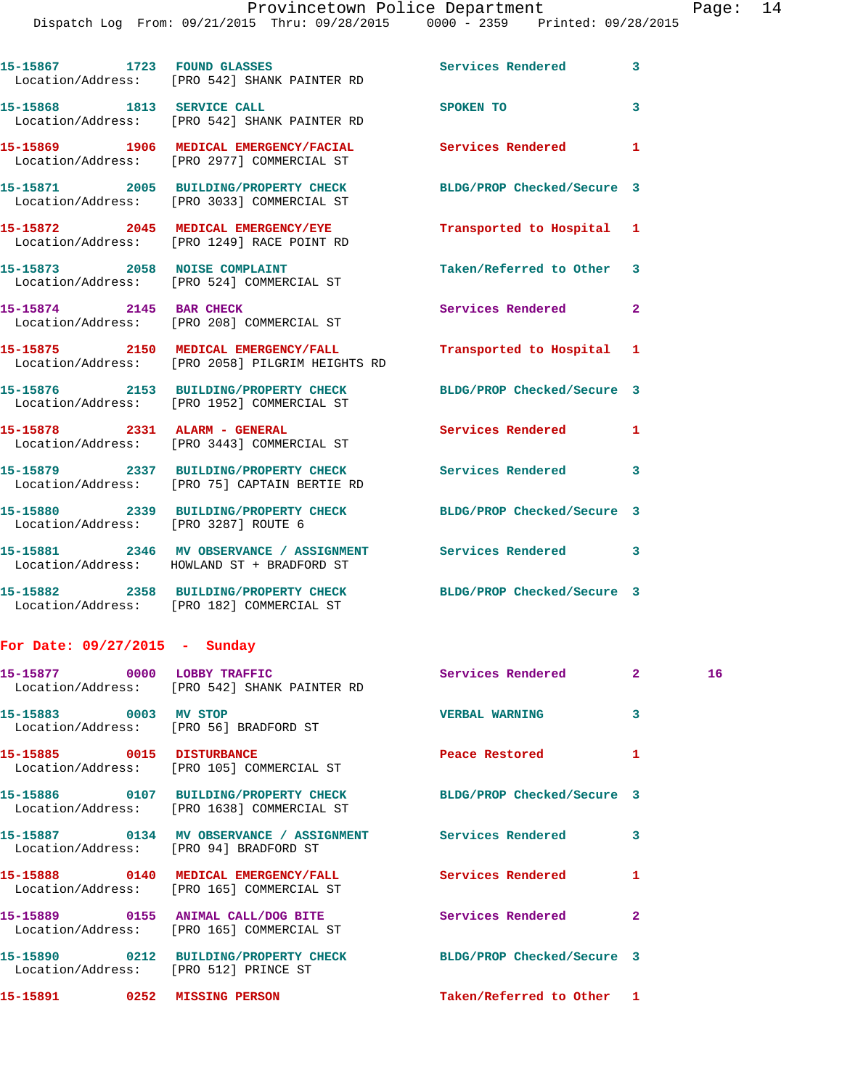Dispatch Log From: 09/21/2015 Thru: 09/28/2015 0000 - 2359 Printed: 09/28/2015

|                                      | 15-15867 1723 FOUND GLASSES<br>Location/Address: [PRO 542] SHANK PAINTER RD             | Services Rendered          | 3                       |
|--------------------------------------|-----------------------------------------------------------------------------------------|----------------------------|-------------------------|
| 15-15868 1813 SERVICE CALL           | Location/Address: [PRO 542] SHANK PAINTER RD                                            | SPOKEN TO                  | $\overline{\mathbf{3}}$ |
|                                      | 15-15869 1906 MEDICAL EMERGENCY/FACIAL<br>Location/Address: [PRO 2977] COMMERCIAL ST    | <b>Services Rendered</b>   | 1                       |
|                                      | 15-15871 2005 BUILDING/PROPERTY CHECK<br>Location/Address: [PRO 3033] COMMERCIAL ST     | BLDG/PROP Checked/Secure 3 |                         |
|                                      | 15-15872 2045 MEDICAL EMERGENCY/EYE<br>Location/Address: [PRO 1249] RACE POINT RD       | Transported to Hospital    | 1                       |
| 15-15873 2058 NOISE COMPLAINT        | Location/Address: [PRO 524] COMMERCIAL ST                                               | Taken/Referred to Other    | 3                       |
| 15-15874 2145 BAR CHECK              | Location/Address: [PRO 208] COMMERCIAL ST                                               | <b>Services Rendered</b>   | $\overline{2}$          |
|                                      | 15-15875 2150 MEDICAL EMERGENCY/FALL<br>Location/Address: [PRO 2058] PILGRIM HEIGHTS RD | Transported to Hospital    | 1                       |
|                                      | 15-15876 2153 BUILDING/PROPERTY CHECK<br>Location/Address: [PRO 1952] COMMERCIAL ST     | BLDG/PROP Checked/Secure 3 |                         |
| 15-15878 2331 ALARM - GENERAL        | Location/Address: [PRO 3443] COMMERCIAL ST                                              | <b>Services Rendered</b>   | 1                       |
|                                      | 15-15879 2337 BUILDING/PROPERTY CHECK<br>Location/Address: [PRO 75] CAPTAIN BERTIE RD   | Services Rendered          | 3                       |
| Location/Address: [PRO 3287] ROUTE 6 | 15-15880 2339 BUILDING/PROPERTY CHECK                                                   | BLDG/PROP Checked/Secure 3 |                         |
|                                      | 15-15881 2346 MV OBSERVANCE / ASSIGNMENT<br>Location/Address: HOWLAND ST + BRADFORD ST  | <b>Services Rendered</b>   | 3                       |
|                                      | 15-15882 2358 BUILDING/PROPERTY CHECK<br>Location/Address: [PRO 182] COMMERCIAL ST      | BLDG/PROP Checked/Secure 3 |                         |

## **For Date: 09/27/2015 - Sunday**

|                                                                 | 15-15877 0000 LOBBY TRAFFIC<br>Location/Address: [PRO 542] SHANK PAINTER RD                                        | Services Rendered 2       |                         | 16 |
|-----------------------------------------------------------------|--------------------------------------------------------------------------------------------------------------------|---------------------------|-------------------------|----|
| 15-15883 0003 MV STOP<br>Location/Address: [PRO 56] BRADFORD ST |                                                                                                                    | <b>VERBAL WARNING</b>     | $\overline{\mathbf{3}}$ |    |
|                                                                 | 15-15885 0015 DISTURBANCE<br>Location/Address: [PRO 105] COMMERCIAL ST                                             | Peace Restored            | 1                       |    |
|                                                                 | 15-15886 0107 BUILDING/PROPERTY CHECK BLDG/PROP Checked/Secure 3<br>Location/Address: [PRO 1638] COMMERCIAL ST     |                           |                         |    |
| Location/Address: [PRO 94] BRADFORD ST                          | 15-15887       0134   MV OBSERVANCE / ASSIGNMENT       Services Rendered                                           |                           | $\overline{\mathbf{3}}$ |    |
|                                                                 | 15-15888      0140   MEDICAL EMERGENCY/FALL         Services Rendered<br>Location/Address: [PRO 165] COMMERCIAL ST |                           | $\mathbf{1}$            |    |
|                                                                 | Location/Address: [PRO 165] COMMERCIAL ST                                                                          |                           | $\overline{2}$          |    |
| Location/Address: [PRO 512] PRINCE ST                           | 15-15890 0212 BUILDING/PROPERTY CHECK BLDG/PROP Checked/Secure 3                                                   |                           |                         |    |
| 15-15891 0252 MISSING PERSON                                    |                                                                                                                    | Taken/Referred to Other 1 |                         |    |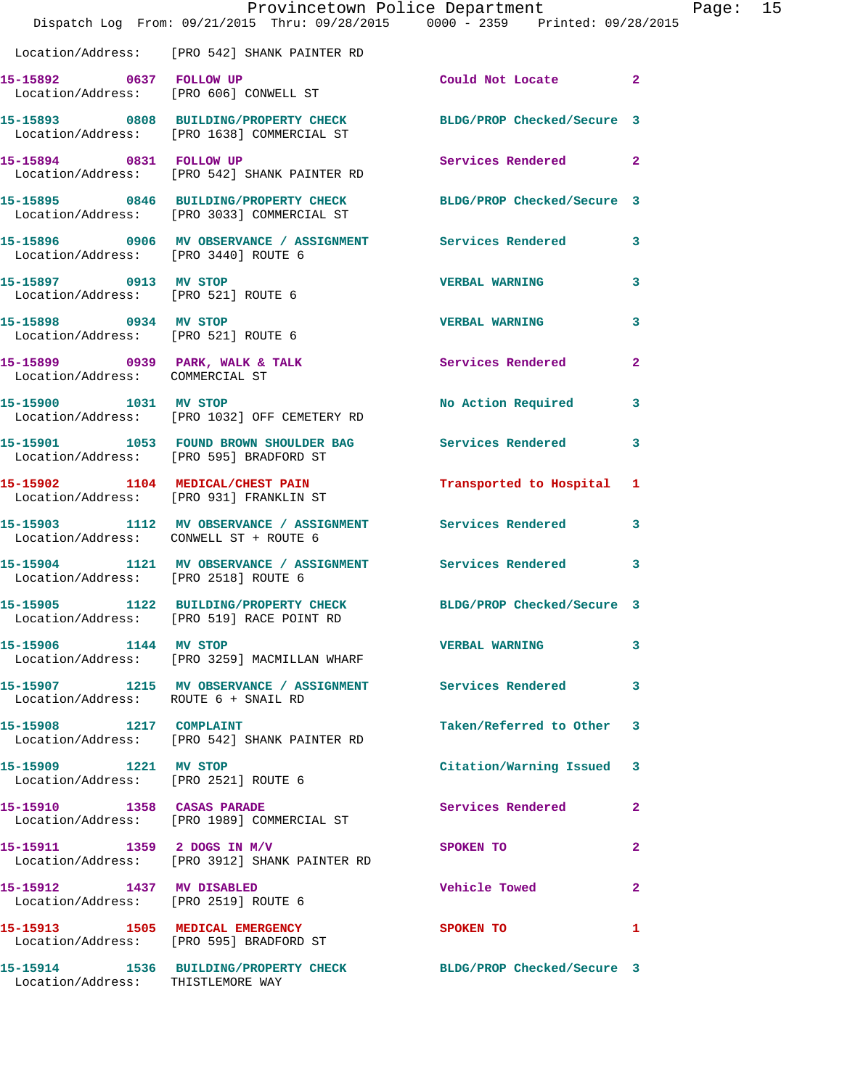|                                                                    | Provincetown Police Department<br>Dispatch Log From: 09/21/2015 Thru: 09/28/2015 0000 - 2359 Printed: 09/28/2015 |                            |                |
|--------------------------------------------------------------------|------------------------------------------------------------------------------------------------------------------|----------------------------|----------------|
|                                                                    |                                                                                                                  |                            |                |
|                                                                    | Location/Address: [PRO 542] SHANK PAINTER RD                                                                     |                            |                |
| 15-15892 0637 FOLLOW UP                                            | Location/Address: [PRO 606] CONWELL ST                                                                           | Could Not Locate 2         |                |
|                                                                    | 15-15893 0808 BUILDING/PROPERTY CHECK BLDG/PROP Checked/Secure 3<br>Location/Address: [PRO 1638] COMMERCIAL ST   |                            |                |
| 15-15894 0831 FOLLOW UP                                            | Location/Address: [PRO 542] SHANK PAINTER RD                                                                     | Services Rendered          | $\mathbf{2}$   |
|                                                                    | 15-15895 0846 BUILDING/PROPERTY CHECK BLDG/PROP Checked/Secure 3<br>Location/Address: [PRO 3033] COMMERCIAL ST   |                            |                |
| Location/Address: [PRO 3440] ROUTE 6                               | 15-15896 0906 MV OBSERVANCE / ASSIGNMENT Services Rendered                                                       |                            | 3              |
| 15-15897 0913 MV STOP<br>Location/Address: [PRO 521] ROUTE 6       |                                                                                                                  | <b>VERBAL WARNING</b>      | 3              |
| 15-15898 0934 MV STOP<br>Location/Address: [PRO 521] ROUTE 6       |                                                                                                                  | <b>VERBAL WARNING</b>      | 3              |
| 15-15899 0939 PARK, WALK & TALK<br>Location/Address: COMMERCIAL ST |                                                                                                                  | Services Rendered          | $\overline{2}$ |
|                                                                    | 15-15900 1031 MV STOP<br>Location/Address: [PRO 1032] OFF CEMETERY RD                                            | No Action Required         | 3              |
| Location/Address: [PRO 595] BRADFORD ST                            | 15-15901 1053 FOUND BROWN SHOULDER BAG                                                                           | Services Rendered          | 3              |
|                                                                    | 15-15902 1104 MEDICAL/CHEST PAIN<br>Location/Address: [PRO 931] FRANKLIN ST                                      | Transported to Hospital    | 1              |
| Location/Address: CONWELL ST + ROUTE 6                             | 15-15903 1112 MV OBSERVANCE / ASSIGNMENT Services Rendered                                                       |                            | 3              |
| Location/Address: [PRO 2518] ROUTE 6                               | 15-15904 1121 MV OBSERVANCE / ASSIGNMENT Services Rendered                                                       |                            | 3              |
|                                                                    | 15-15905 1122 BUILDING/PROPERTY CHECK BLDG/PROP Checked/Secure 3<br>Location/Address: [PRO 519] RACE POINT RD    |                            |                |
| 15-15906 1144 MV STOP                                              | Location/Address: [PRO 3259] MACMILLAN WHARF                                                                     | <b>VERBAL WARNING</b>      | 3              |
| Location/Address: ROUTE 6 + SNAIL RD                               | 15-15907 1215 MV OBSERVANCE / ASSIGNMENT Services Rendered                                                       |                            | 3              |
| 15-15908 1217 COMPLAINT                                            | Location/Address: [PRO 542] SHANK PAINTER RD                                                                     | Taken/Referred to Other    | 3              |
| 15-15909 1221 MV STOP                                              | Location/Address: [PRO 2521] ROUTE 6                                                                             | Citation/Warning Issued    | 3              |
| 15-15910 1358 CASAS PARADE                                         | Location/Address: [PRO 1989] COMMERCIAL ST                                                                       | Services Rendered          | $\mathbf{2}$   |
|                                                                    | 15-15911 1359 2 DOGS IN M/V<br>Location/Address: [PRO 3912] SHANK PAINTER RD                                     | SPOKEN TO                  | $\mathbf{2}$   |
| 15-15912 1437 MV DISABLED<br>Location/Address: [PRO 2519] ROUTE 6  |                                                                                                                  | <b>Vehicle Towed</b>       | $\overline{2}$ |
|                                                                    | 15-15913 1505 MEDICAL EMERGENCY<br>Location/Address: [PRO 595] BRADFORD ST                                       | <b>SPOKEN TO</b>           | 1              |
| Location/Address: THISTLEMORE WAY                                  | 15-15914 1536 BUILDING/PROPERTY CHECK                                                                            | BLDG/PROP Checked/Secure 3 |                |

Page: 15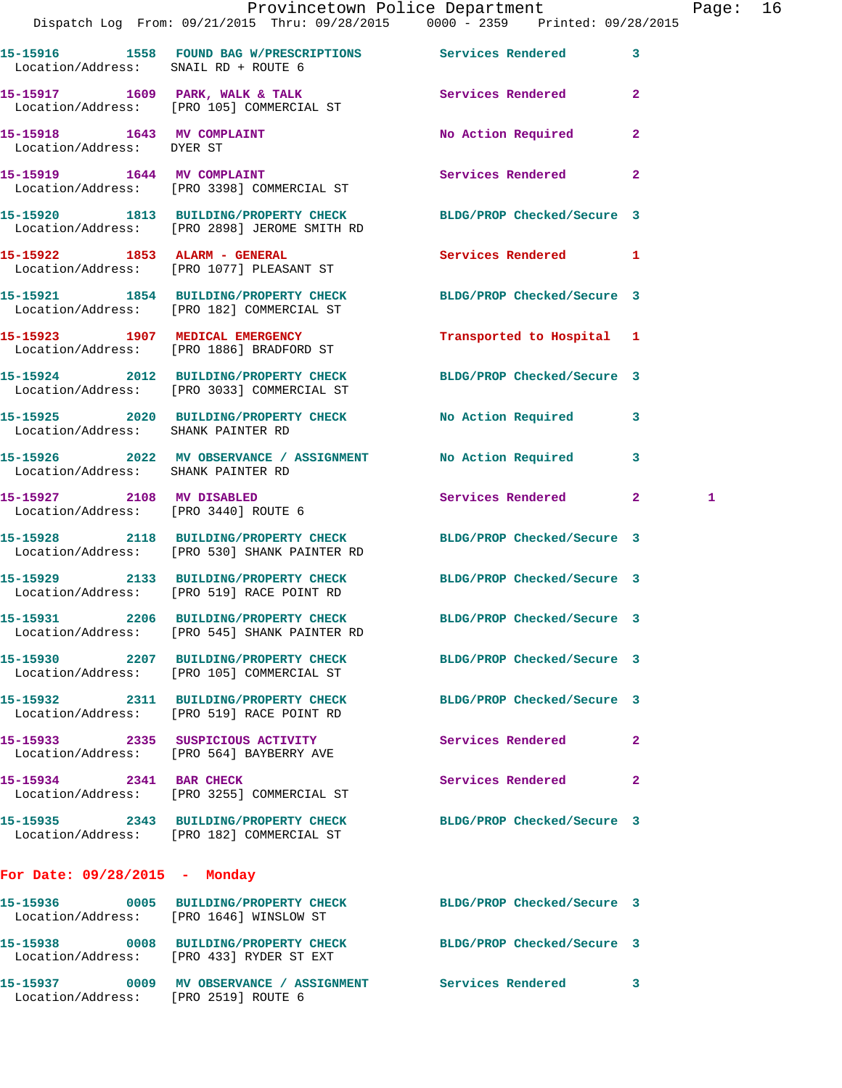|                                                                   |                                                                                       | Provincetown Police Department                                                                                   | Page: 16 |  |
|-------------------------------------------------------------------|---------------------------------------------------------------------------------------|------------------------------------------------------------------------------------------------------------------|----------|--|
|                                                                   |                                                                                       | Dispatch Log From: 09/21/2015 Thru: 09/28/2015 0000 - 2359 Printed: 09/28/2015                                   |          |  |
| Location/Address: SNAIL RD + ROUTE 6                              |                                                                                       | 15-15916 1558 FOUND BAG W/PRESCRIPTIONS Services Rendered 3                                                      |          |  |
|                                                                   | Location/Address: [PRO 105] COMMERCIAL ST                                             | 15-15917 1609 PARK, WALK & TALK 1999 Services Rendered 2                                                         |          |  |
| Location/Address: DYER ST                                         | 15-15918 1643 MV COMPLAINT                                                            | No Action Required 2                                                                                             |          |  |
|                                                                   | 15-15919 1644 MV COMPLAINT<br>Location/Address: [PRO 3398] COMMERCIAL ST              | <b>Services Rendered</b><br>$\mathbf{2}$                                                                         |          |  |
|                                                                   | Location/Address: [PRO 2898] JEROME SMITH RD                                          | 15-15920 1813 BUILDING/PROPERTY CHECK BLDG/PROP Checked/Secure 3                                                 |          |  |
|                                                                   | 15-15922 1853 ALARM - GENERAL<br>Location/Address: [PRO 1077] PLEASANT ST             | Services Rendered 1                                                                                              |          |  |
|                                                                   | Location/Address: [PRO 182] COMMERCIAL ST                                             | 15-15921 1854 BUILDING/PROPERTY CHECK BLDG/PROP Checked/Secure 3                                                 |          |  |
|                                                                   | 15-15923 1907 MEDICAL EMERGENCY<br>Location/Address: [PRO 1886] BRADFORD ST           | Transported to Hospital 1                                                                                        |          |  |
|                                                                   | Location/Address: [PRO 3033] COMMERCIAL ST                                            | 15-15924 2012 BUILDING/PROPERTY CHECK BLDG/PROP Checked/Secure 3                                                 |          |  |
| Location/Address: SHANK PAINTER RD                                |                                                                                       | 15-15925 2020 BUILDING/PROPERTY CHECK No Action Required 3                                                       |          |  |
| Location/Address: SHANK PAINTER RD                                |                                                                                       | 15-15926 2022 MV OBSERVANCE / ASSIGNMENT No Action Required 3                                                    |          |  |
| 15-15927 2108 MV DISABLED<br>Location/Address: [PRO 3440] ROUTE 6 |                                                                                       | Services Rendered 2                                                                                              | 1        |  |
|                                                                   |                                                                                       | 15-15928 2118 BUILDING/PROPERTY CHECK BLDG/PROP Checked/Secure 3<br>Location/Address: [PRO 530] SHANK PAINTER RD |          |  |
|                                                                   | Location/Address: [PRO 519] RACE POINT RD                                             | 15-15929 2133 BUILDING/PROPERTY CHECK BLDG/PROP Checked/Secure 3                                                 |          |  |
|                                                                   | 15-15931 2206 BUILDING/PROPERTY CHECK<br>Location/Address: [PRO 545] SHANK PAINTER RD | BLDG/PROP Checked/Secure 3                                                                                       |          |  |
|                                                                   | Location/Address: [PRO 105] COMMERCIAL ST                                             | 15-15930 2207 BUILDING/PROPERTY CHECK BLDG/PROP Checked/Secure 3                                                 |          |  |
|                                                                   | Location/Address: [PRO 519] RACE POINT RD                                             | 15-15932 2311 BUILDING/PROPERTY CHECK BLDG/PROP Checked/Secure 3                                                 |          |  |
|                                                                   | 15-15933 2335 SUSPICIOUS ACTIVITY<br>Location/Address: [PRO 564] BAYBERRY AVE         | Services Rendered 2                                                                                              |          |  |
| 15-15934 2341 BAR CHECK                                           | Location/Address: [PRO 3255] COMMERCIAL ST                                            | Services Rendered 2                                                                                              |          |  |
|                                                                   | Location/Address: [PRO 182] COMMERCIAL ST                                             | 15-15935 2343 BUILDING/PROPERTY CHECK BLDG/PROP Checked/Secure 3                                                 |          |  |
| For Date: $09/28/2015$ - Monday                                   |                                                                                       |                                                                                                                  |          |  |
|                                                                   | Location/Address: [PRO 1646] WINSLOW ST                                               | 15-15936 0005 BUILDING/PROPERTY CHECK BLDG/PROP Checked/Secure 3                                                 |          |  |
|                                                                   | Location/Address: [PRO 433] RYDER ST EXT                                              | 15-15938 0008 BUILDING/PROPERTY CHECK BLDG/PROP Checked/Secure 3                                                 |          |  |
|                                                                   | Location/Address: [PRO 2519] ROUTE 6                                                  | 15-15937 0009 MV OBSERVANCE / ASSIGNMENT Services Rendered 3                                                     |          |  |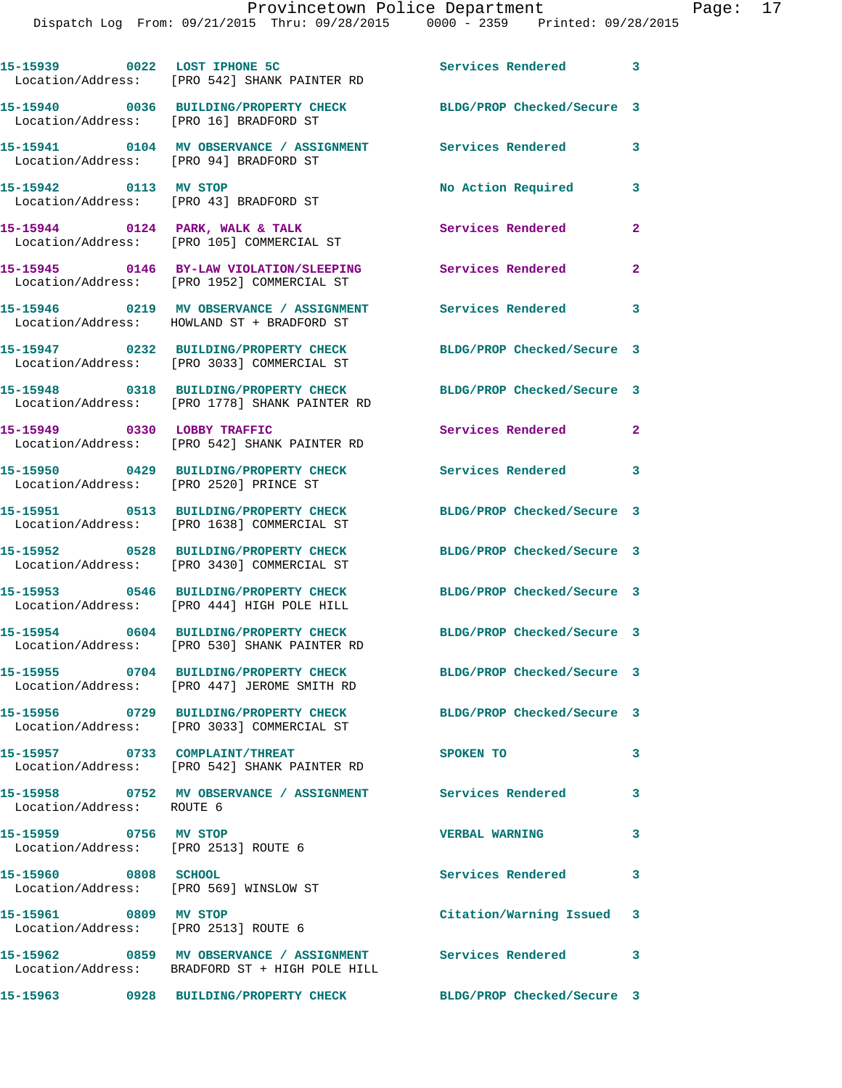| Services Rendered 3<br>BLDG/PROP Checked/Secure 3<br>3<br>3 |
|-------------------------------------------------------------|
|                                                             |
|                                                             |
|                                                             |
|                                                             |
| $\overline{2}$                                              |
| $\overline{2}$                                              |
| $\overline{\mathbf{3}}$                                     |
| BLDG/PROP Checked/Secure 3                                  |
| BLDG/PROP Checked/Secure 3                                  |
| Services Rendered<br>$\mathbf{2}$                           |
| $\overline{\mathbf{3}}$                                     |
| BLDG/PROP Checked/Secure 3                                  |
| BLDG/PROP Checked/Secure 3                                  |
| BLDG/PROP Checked/Secure 3                                  |
| BLDG/PROP Checked/Secure 3                                  |
| BLDG/PROP Checked/Secure 3                                  |
| BLDG/PROP Checked/Secure 3                                  |
| 3                                                           |
| 3                                                           |
| 3                                                           |
| 3                                                           |
| Citation/Warning Issued 3                                   |
| 3                                                           |
|                                                             |

**15-15963 0928 BUILDING/PROPERTY CHECK BLDG/PROP Checked/Secure 3**